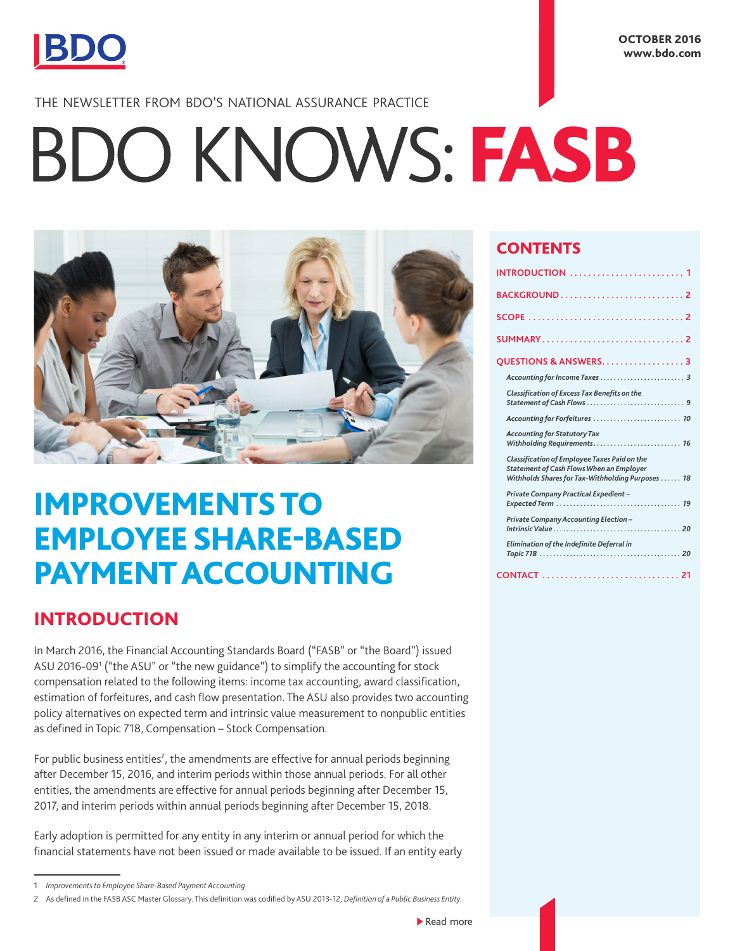

## THE NEWSLETTER FROM BDO'S NATIONAL ASSURANCE PRACTICE

# BDO KNOWS: FASB



# IMPROVEMENTS TO EMPLOYEE SHARE-BASED PAYMENT ACCOUNTING

# INTRODUCTION

In March 2016, the Financial Accounting Standards Board ("FASB" or "the Board") issued ASU 2016-09<sup>1</sup> ("the ASU" or "the new guidance") to simplify the accounting for stock compensation related to the following items: income tax accounting, award classification, estimation of forfeitures, and cash flow presentation. The ASU also provides two accounting policy alternatives on expected term and intrinsic value measurement to nonpublic entities as defined in Topic 718, Compensation – Stock Compensation.

For public business entities<sup>2</sup>, the amendments are effective for annual periods beginning after December 15, 2016, and interim periods within those annual periods. For all other entities, the amendments are effective for annual periods beginning after December 15, 2017, and interim periods within annual periods beginning after December 15, 2018.

Early adoption is permitted for any entity in any interim or annual period for which the financial statements have not been issued or made available to be issued. If an entity early

### **CONTENTS**

| BACKGROUND2                                                                                                                                                 |
|-------------------------------------------------------------------------------------------------------------------------------------------------------------|
|                                                                                                                                                             |
| SUMMARY2                                                                                                                                                    |
| QUESTIONS & ANSWERS. 3                                                                                                                                      |
|                                                                                                                                                             |
| Classification of Excess Tax Benefits on the                                                                                                                |
| Accounting for Forfeitures  10                                                                                                                              |
| <b>Accounting for Statutory Tax</b><br>Withholding Requirements 16                                                                                          |
| <b>Classification of Employee Taxes Paid on the</b><br><b>Statement of Cash Flows When an Employer</b><br>Withholds Shares for Tax-Withholding Purposes  18 |
| Private Company Practical Expedient-                                                                                                                        |
| Private Company Accounting Election-                                                                                                                        |
| Elimination of the Indefinite Deferral in                                                                                                                   |
|                                                                                                                                                             |

<sup>1</sup> *Improvements to Employee Share-Based Payment Accounting*

<sup>2</sup> As defined in the FASB ASC Master Glossary. This definition was codified by ASU 2013-12, *Definition of a Public Business Entity.*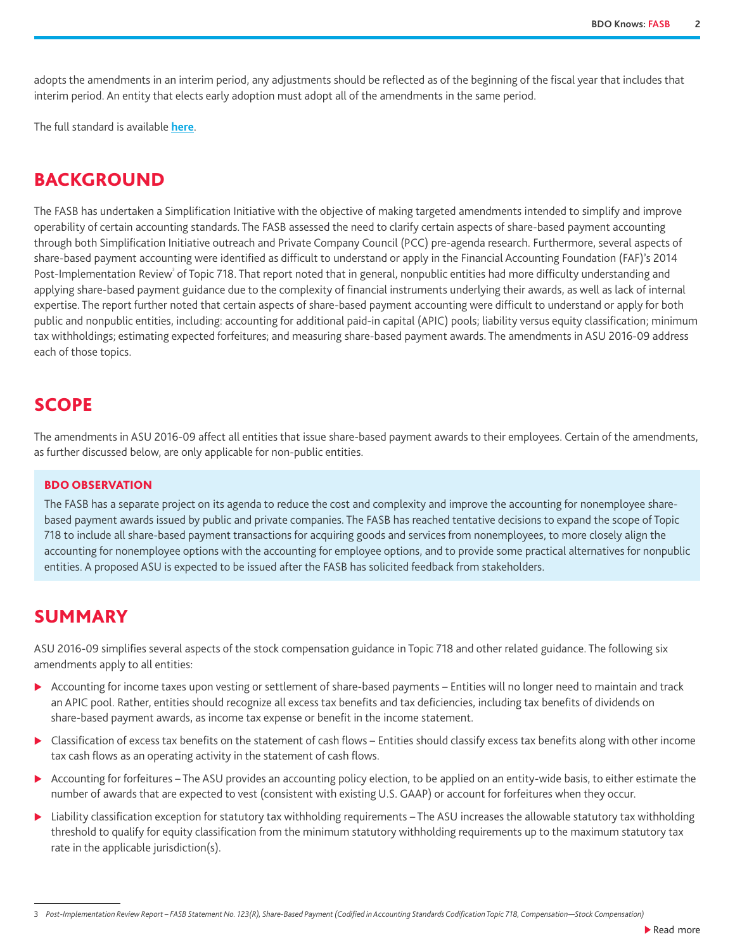<span id="page-1-0"></span>adopts the amendments in an interim period, any adjustments should be reflected as of the beginning of the fiscal year that includes that interim period. An entity that elects early adoption must adopt all of the amendments in the same period.

The full standard is available **[here](http://www.fasb.org/cs/ContentServer?c=Document_C&pagename=FASB%2FDocument_C%2FDocumentPage&cid=1176168028584)**.

# BACKGROUND

The FASB has undertaken a Simplification Initiative with the objective of making targeted amendments intended to simplify and improve operability of certain accounting standards. The FASB assessed the need to clarify certain aspects of share-based payment accounting through both Simplification Initiative outreach and Private Company Council (PCC) pre-agenda research. Furthermore, several aspects of share-based payment accounting were identified as difficult to understand or apply in the Financial Accounting Foundation (FAF)'s 2014 Post-Implementation Review<sup>3</sup> of Topic 718. That report noted that in general, nonpublic entities had more difficulty understanding and applying share-based payment guidance due to the complexity of financial instruments underlying their awards, as well as lack of internal expertise. The report further noted that certain aspects of share-based payment accounting were difficult to understand or apply for both public and nonpublic entities, including: accounting for additional paid-in capital (APIC) pools; liability versus equity classification; minimum tax withholdings; estimating expected forfeitures; and measuring share-based payment awards. The amendments in ASU 2016-09 address each of those topics.

# **SCOPE**

The amendments in ASU 2016-09 affect all entities that issue share-based payment awards to their employees. Certain of the amendments, as further discussed below, are only applicable for non-public entities.

#### BDO OBSERVATION

The FASB has a separate project on its agenda to reduce the cost and complexity and improve the accounting for nonemployee sharebased payment awards issued by public and private companies. The FASB has reached tentative decisions to expand the scope of Topic 718 to include all share-based payment transactions for acquiring goods and services from nonemployees, to more closely align the accounting for nonemployee options with the accounting for employee options, and to provide some practical alternatives for nonpublic entities. A proposed ASU is expected to be issued after the FASB has solicited feedback from stakeholders.

# SUMMARY

ASU 2016-09 simplifies several aspects of the stock compensation guidance in Topic 718 and other related guidance. The following six amendments apply to all entities:

- ▶ Accounting for income taxes upon vesting or settlement of share-based payments Entities will no longer need to maintain and track an APIC pool. Rather, entities should recognize all excess tax benefits and tax deficiencies, including tax benefits of dividends on share-based payment awards, as income tax expense or benefit in the income statement.
- ▶ Classification of excess tax benefits on the statement of cash flows Entities should classify excess tax benefits along with other income tax cash flows as an operating activity in the statement of cash flows.
- ▶ Accounting for forfeitures The ASU provides an accounting policy election, to be applied on an entity-wide basis, to either estimate the number of awards that are expected to vest (consistent with existing U.S. GAAP) or account for forfeitures when they occur.
- ▶ Liability classification exception for statutory tax withholding requirements The ASU increases the allowable statutory tax withholding threshold to qualify for equity classification from the minimum statutory withholding requirements up to the maximum statutory tax rate in the applicable jurisdiction(s).

3 *Post-Implementation Review Report – FASB Statement No. 123(R), Share-Based Payment (Codified in Accounting Standards Codification Topic 718, Compensation—Stock Compensation)*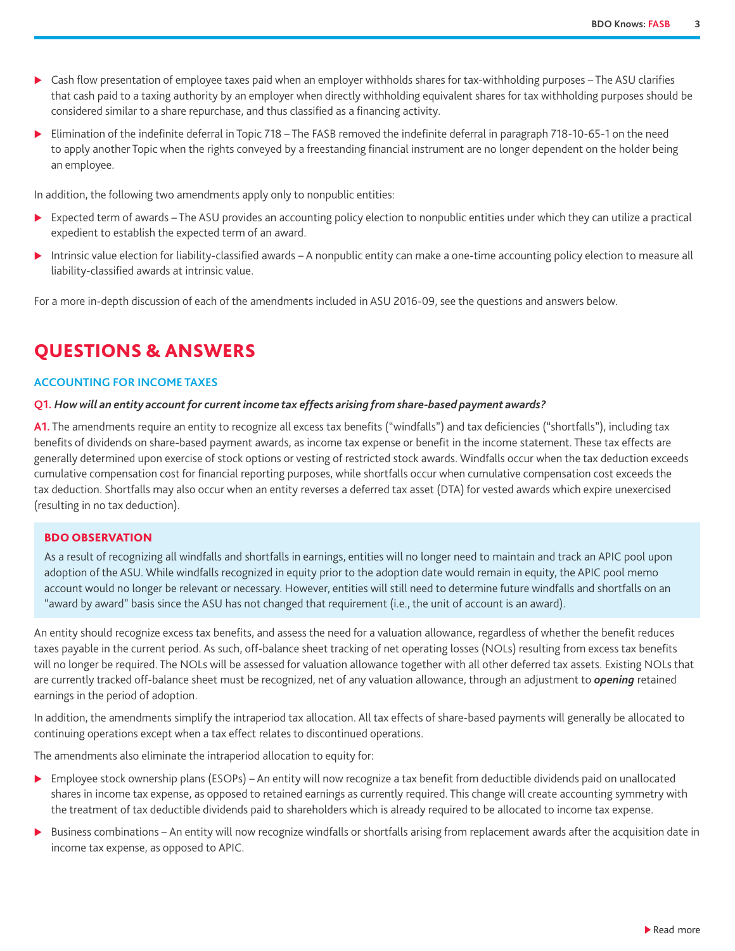- <span id="page-2-0"></span>▶ Cash flow presentation of employee taxes paid when an employer withholds shares for tax-withholding purposes – The ASU clarifies that cash paid to a taxing authority by an employer when directly withholding equivalent shares for tax withholding purposes should be considered similar to a share repurchase, and thus classified as a financing activity.
- $\triangleright$  Elimination of the indefinite deferral in Topic 718 The FASB removed the indefinite deferral in paragraph 718-10-65-1 on the need to apply another Topic when the rights conveyed by a freestanding financial instrument are no longer dependent on the holder being an employee.

In addition, the following two amendments apply only to nonpublic entities:

- ▶ Expected term of awards The ASU provides an accounting policy election to nonpublic entities under which they can utilize a practical expedient to establish the expected term of an award.
- Intrinsic value election for liability-classified awards A nonpublic entity can make a one-time accounting policy election to measure all liability-classified awards at intrinsic value.

For a more in-depth discussion of each of the amendments included in ASU 2016-09, see the questions and answers below.

# QUESTIONS & ANSWERS

#### **ACCOUNTING FOR INCOME TAXES**

#### **Q1.** *How will an entity account for current income tax effects arising from share-based payment awards?*

**A1.** The amendments require an entity to recognize all excess tax benefits ("windfalls") and tax deficiencies ("shortfalls"), including tax benefits of dividends on share-based payment awards, as income tax expense or benefit in the income statement. These tax effects are generally determined upon exercise of stock options or vesting of restricted stock awards. Windfalls occur when the tax deduction exceeds cumulative compensation cost for financial reporting purposes, while shortfalls occur when cumulative compensation cost exceeds the tax deduction. Shortfalls may also occur when an entity reverses a deferred tax asset (DTA) for vested awards which expire unexercised (resulting in no tax deduction).

#### BDO OBSERVATION

As a result of recognizing all windfalls and shortfalls in earnings, entities will no longer need to maintain and track an APIC pool upon adoption of the ASU. While windfalls recognized in equity prior to the adoption date would remain in equity, the APIC pool memo account would no longer be relevant or necessary. However, entities will still need to determine future windfalls and shortfalls on an "award by award" basis since the ASU has not changed that requirement (i.e., the unit of account is an award).

An entity should recognize excess tax benefits, and assess the need for a valuation allowance, regardless of whether the benefit reduces taxes payable in the current period. As such, off-balance sheet tracking of net operating losses (NOLs) resulting from excess tax benefits will no longer be required. The NOLs will be assessed for valuation allowance together with all other deferred tax assets. Existing NOLs that are currently tracked off-balance sheet must be recognized, net of any valuation allowance, through an adjustment to *opening* retained earnings in the period of adoption.

In addition, the amendments simplify the intraperiod tax allocation. All tax effects of share-based payments will generally be allocated to continuing operations except when a tax effect relates to discontinued operations.

The amendments also eliminate the intraperiod allocation to equity for:

- ▶ Employee stock ownership plans (ESOPs) An entity will now recognize a tax benefit from deductible dividends paid on unallocated shares in income tax expense, as opposed to retained earnings as currently required. This change will create accounting symmetry with the treatment of tax deductible dividends paid to shareholders which is already required to be allocated to income tax expense.
- ▶ Business combinations An entity will now recognize windfalls or shortfalls arising from replacement awards after the acquisition date in income tax expense, as opposed to APIC.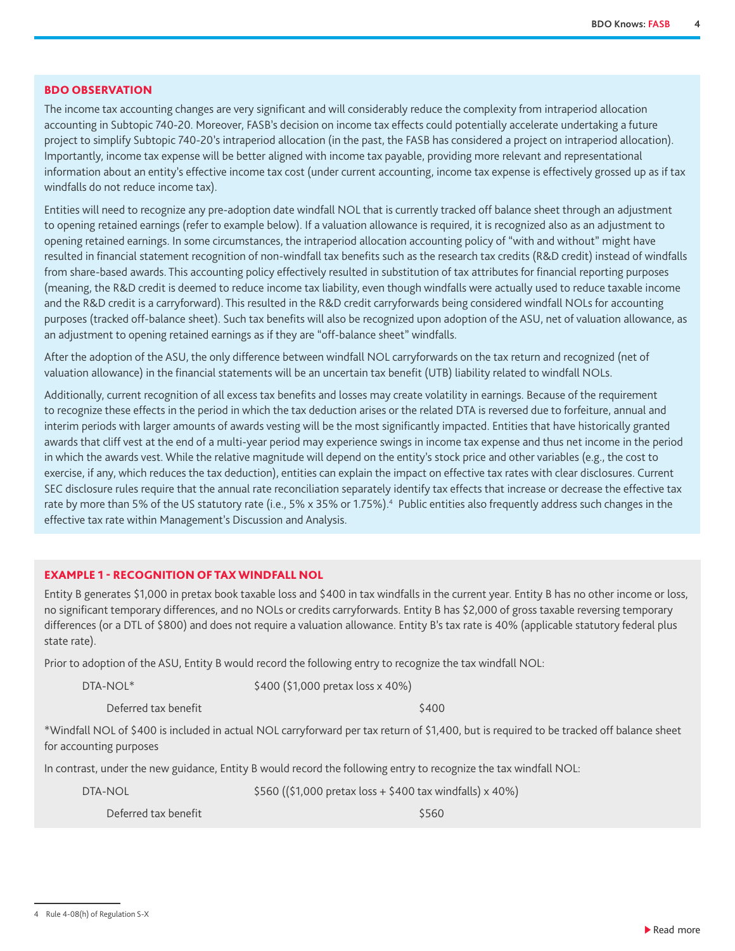#### <span id="page-3-0"></span>BDO OBSERVATION

The income tax accounting changes are very significant and will considerably reduce the complexity from intraperiod allocation accounting in Subtopic 740-20. Moreover, FASB's decision on income tax effects could potentially accelerate undertaking a future project to simplify Subtopic 740-20's intraperiod allocation (in the past, the FASB has considered a project on intraperiod allocation). Importantly, income tax expense will be better aligned with income tax payable, providing more relevant and representational information about an entity's effective income tax cost (under current accounting, income tax expense is effectively grossed up as if tax windfalls do not reduce income tax).

Entities will need to recognize any pre-adoption date windfall NOL that is currently tracked off balance sheet through an adjustment to opening retained earnings (refer to example below). If a valuation allowance is required, it is recognized also as an adjustment to opening retained earnings. In some circumstances, the intraperiod allocation accounting policy of "with and without" might have resulted in financial statement recognition of non-windfall tax benefits such as the research tax credits (R&D credit) instead of windfalls from share-based awards. This accounting policy effectively resulted in substitution of tax attributes for financial reporting purposes (meaning, the R&D credit is deemed to reduce income tax liability, even though windfalls were actually used to reduce taxable income and the R&D credit is a carryforward). This resulted in the R&D credit carryforwards being considered windfall NOLs for accounting purposes (tracked off-balance sheet). Such tax benefits will also be recognized upon adoption of the ASU, net of valuation allowance, as an adjustment to opening retained earnings as if they are "off-balance sheet" windfalls.

After the adoption of the ASU, the only difference between windfall NOL carryforwards on the tax return and recognized (net of valuation allowance) in the financial statements will be an uncertain tax benefit (UTB) liability related to windfall NOLs.

Additionally, current recognition of all excess tax benefits and losses may create volatility in earnings. Because of the requirement to recognize these effects in the period in which the tax deduction arises or the related DTA is reversed due to forfeiture, annual and interim periods with larger amounts of awards vesting will be the most significantly impacted. Entities that have historically granted awards that cliff vest at the end of a multi-year period may experience swings in income tax expense and thus net income in the period in which the awards vest. While the relative magnitude will depend on the entity's stock price and other variables (e.g., the cost to exercise, if any, which reduces the tax deduction), entities can explain the impact on effective tax rates with clear disclosures. Current SEC disclosure rules require that the annual rate reconciliation separately identify tax effects that increase or decrease the effective tax rate by more than 5% of the US statutory rate (i.e., 5% x 35% or 1.75%).<sup>4</sup> Public entities also frequently address such changes in the effective tax rate within Management's Discussion and Analysis.

#### EXAMPLE 1 - RECOGNITION OF TAX WINDFALL NOL

Entity B generates \$1,000 in pretax book taxable loss and \$400 in tax windfalls in the current year. Entity B has no other income or loss, no significant temporary differences, and no NOLs or credits carryforwards. Entity B has \$2,000 of gross taxable reversing temporary differences (or a DTL of \$800) and does not require a valuation allowance. Entity B's tax rate is 40% (applicable statutory federal plus state rate).

Prior to adoption of the ASU, Entity B would record the following entry to recognize the tax windfall NOL:

DTA-NOL<sup>\*</sup>  $$400 ($1,000 \text{ pretax loss} \times 40\%)$ 

Deferred tax benefit  $\sim$  5400

\*Windfall NOL of \$400 is included in actual NOL carryforward per tax return of \$1,400, but is required to be tracked off balance sheet for accounting purposes

In contrast, under the new guidance, Entity B would record the following entry to recognize the tax windfall NOL:

DTA-NOL \$560 ((\$1,000 pretax loss + \$400 tax windfalls) x 40%)

Deferred tax benefit  $$560$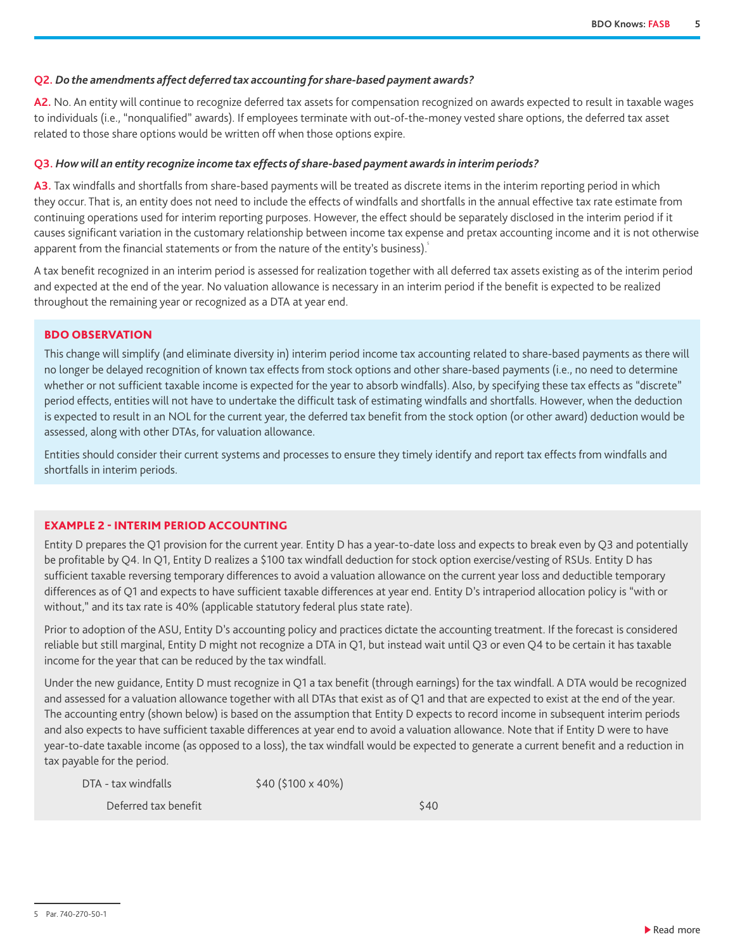#### **Q2.** *Do the amendments affect deferred tax accounting for share-based payment awards?*

**A2.** No. An entity will continue to recognize deferred tax assets for compensation recognized on awards expected to result in taxable wages to individuals (i.e., "nonqualified" awards). If employees terminate with out-of-the-money vested share options, the deferred tax asset related to those share options would be written off when those options expire.

#### **Q3.** *How will an entity recognize income tax effects of share-based payment awards in interim periods?*

**A3.** Tax windfalls and shortfalls from share-based payments will be treated as discrete items in the interim reporting period in which they occur. That is, an entity does not need to include the effects of windfalls and shortfalls in the annual effective tax rate estimate from continuing operations used for interim reporting purposes. However, the effect should be separately disclosed in the interim period if it causes significant variation in the customary relationship between income tax expense and pretax accounting income and it is not otherwise apparent from the financial statements or from the nature of the entity's business). $\delta$ 

A tax benefit recognized in an interim period is assessed for realization together with all deferred tax assets existing as of the interim period and expected at the end of the year. No valuation allowance is necessary in an interim period if the benefit is expected to be realized throughout the remaining year or recognized as a DTA at year end.

#### BDO OBSERVATION

This change will simplify (and eliminate diversity in) interim period income tax accounting related to share-based payments as there will no longer be delayed recognition of known tax effects from stock options and other share-based payments (i.e., no need to determine whether or not sufficient taxable income is expected for the year to absorb windfalls). Also, by specifying these tax effects as "discrete" period effects, entities will not have to undertake the difficult task of estimating windfalls and shortfalls. However, when the deduction is expected to result in an NOL for the current year, the deferred tax benefit from the stock option (or other award) deduction would be assessed, along with other DTAs, for valuation allowance.

Entities should consider their current systems and processes to ensure they timely identify and report tax effects from windfalls and shortfalls in interim periods.

#### EXAMPLE 2 - INTERIM PERIOD ACCOUNTING

Entity D prepares the Q1 provision for the current year. Entity D has a year-to-date loss and expects to break even by Q3 and potentially be profitable by Q4. In Q1, Entity D realizes a \$100 tax windfall deduction for stock option exercise/vesting of RSUs. Entity D has sufficient taxable reversing temporary differences to avoid a valuation allowance on the current year loss and deductible temporary differences as of Q1 and expects to have sufficient taxable differences at year end. Entity D's intraperiod allocation policy is "with or without," and its tax rate is 40% (applicable statutory federal plus state rate).

Prior to adoption of the ASU, Entity D's accounting policy and practices dictate the accounting treatment. If the forecast is considered reliable but still marginal, Entity D might not recognize a DTA in Q1, but instead wait until Q3 or even Q4 to be certain it has taxable income for the year that can be reduced by the tax windfall.

Under the new guidance, Entity D must recognize in Q1 a tax benefit (through earnings) for the tax windfall. A DTA would be recognized and assessed for a valuation allowance together with all DTAs that exist as of Q1 and that are expected to exist at the end of the year. The accounting entry (shown below) is based on the assumption that Entity D expects to record income in subsequent interim periods and also expects to have sufficient taxable differences at year end to avoid a valuation allowance. Note that if Entity D were to have year-to-date taxable income (as opposed to a loss), the tax windfall would be expected to generate a current benefit and a reduction in tax payable for the period.

| DTA - tax windfalls  | \$40 (\$100 x 40%) |      |
|----------------------|--------------------|------|
| Deferred tax benefit |                    | \$40 |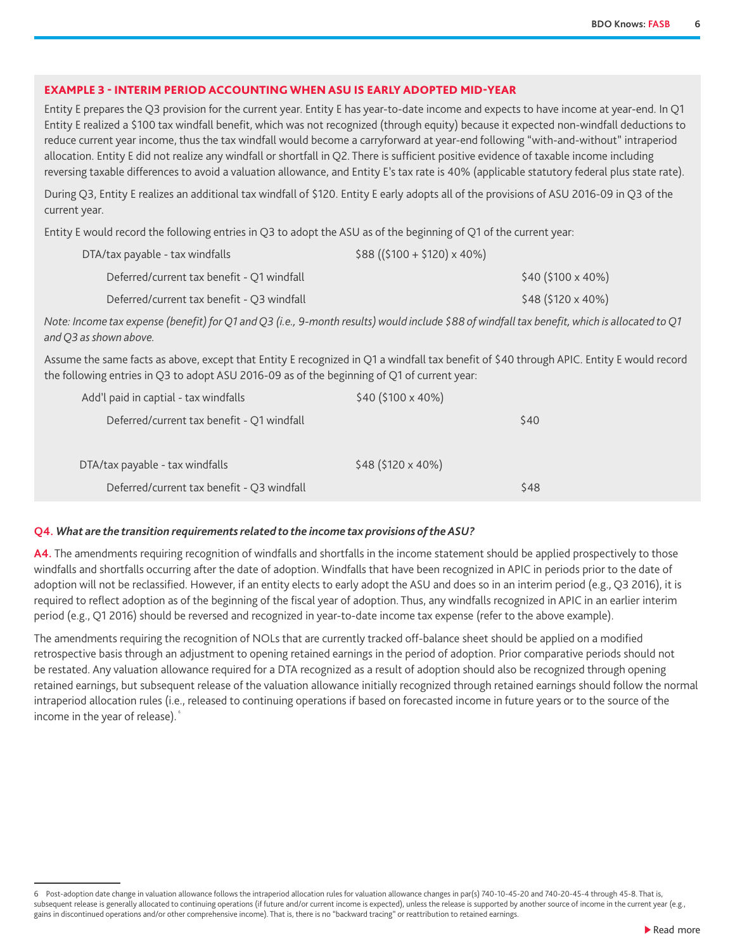#### EXAMPLE 3 - INTERIM PERIOD ACCOUNTING WHEN ASU IS EARLY ADOPTED MID-YEAR

Entity E prepares the Q3 provision for the current year. Entity E has year-to-date income and expects to have income at year-end. In Q1 Entity E realized a \$100 tax windfall benefit, which was not recognized (through equity) because it expected non-windfall deductions to reduce current year income, thus the tax windfall would become a carryforward at year-end following "with-and-without" intraperiod allocation. Entity E did not realize any windfall or shortfall in Q2. There is sufficient positive evidence of taxable income including reversing taxable differences to avoid a valuation allowance, and Entity E's tax rate is 40% (applicable statutory federal plus state rate).

During Q3, Entity E realizes an additional tax windfall of \$120. Entity E early adopts all of the provisions of ASU 2016-09 in Q3 of the current year.

Entity E would record the following entries in Q3 to adopt the ASU as of the beginning of Q1 of the current year:

| DTA/tax payable - tax windfalls            | $$88 (($100 + $120) \times 40\%)$ |
|--------------------------------------------|-----------------------------------|
| Deferred/current tax benefit - Q1 windfall | $$40 ($100 \times 40\%)$          |
| Deferred/current tax benefit - Q3 windfall | \$48 (\$120 x 40%)                |

*Note: Income tax expense (benefit) for Q1 and Q3 (i.e., 9-month results) would include \$88 of windfall tax benefit, which is allocated to Q1 and Q3 as shown above.*

Assume the same facts as above, except that Entity E recognized in Q1 a windfall tax benefit of \$40 through APIC. Entity E would record the following entries in Q3 to adopt ASU 2016-09 as of the beginning of Q1 of current year:

| Add'l paid in captial - tax windfalls      | \$40 (\$100 x 40%)  |      |
|--------------------------------------------|---------------------|------|
| Deferred/current tax benefit - Q1 windfall |                     | \$40 |
|                                            |                     |      |
| DTA/tax payable - tax windfalls            | $$48$ (\$120 x 40%) |      |
| Deferred/current tax benefit - Q3 windfall |                     | \$48 |

#### **Q4.** *What are the transition requirements related to the income tax provisions of the ASU?*

**A4.** The amendments requiring recognition of windfalls and shortfalls in the income statement should be applied prospectively to those windfalls and shortfalls occurring after the date of adoption. Windfalls that have been recognized in APIC in periods prior to the date of adoption will not be reclassified. However, if an entity elects to early adopt the ASU and does so in an interim period (e.g., Q3 2016), it is required to reflect adoption as of the beginning of the fiscal year of adoption. Thus, any windfalls recognized in APIC in an earlier interim period (e.g., Q1 2016) should be reversed and recognized in year-to-date income tax expense (refer to the above example).

The amendments requiring the recognition of NOLs that are currently tracked off-balance sheet should be applied on a modified retrospective basis through an adjustment to opening retained earnings in the period of adoption. Prior comparative periods should not be restated. Any valuation allowance required for a DTA recognized as a result of adoption should also be recognized through opening retained earnings, but subsequent release of the valuation allowance initially recognized through retained earnings should follow the normal intraperiod allocation rules (i.e., released to continuing operations if based on forecasted income in future years or to the source of the income in the year of release).

<sup>6</sup> Post-adoption date change in valuation allowance follows the intraperiod allocation rules for valuation allowance changes in par(s) 740-10-45-20 and 740-20-45-4 through 45-8. That is, subsequent release is generally allocated to continuing operations (if future and/or current income is expected), unless the release is supported by another source of income in the current year (e.g., gains in discontinued operations and/or other comprehensive income). That is, there is no "backward tracing" or reattribution to retained earnings.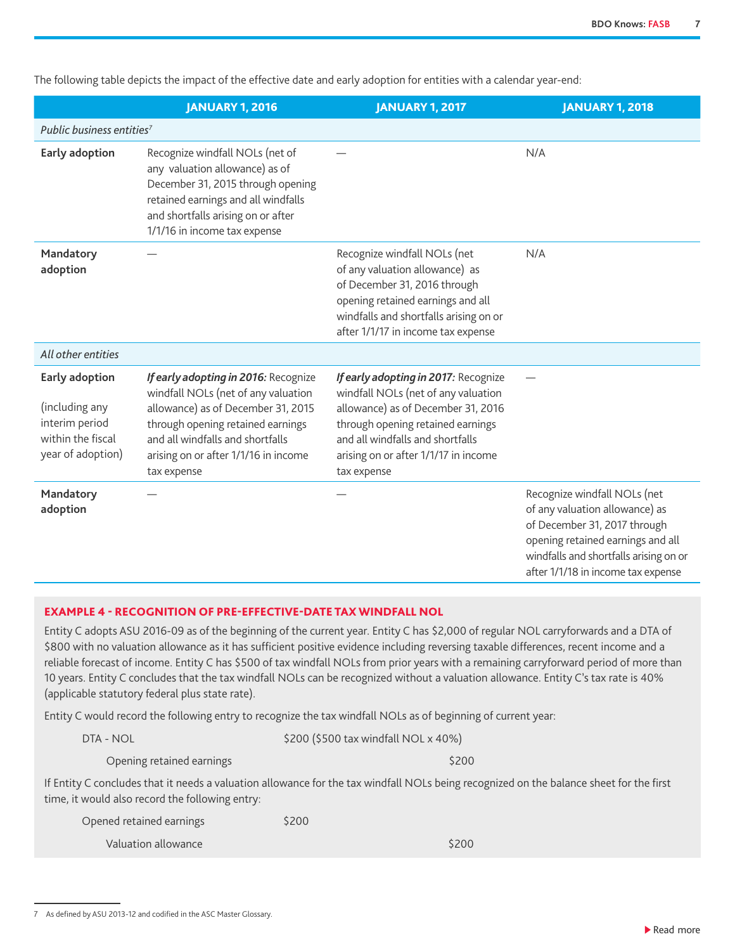JANUARY 1, 2016 JANUARY 1, 2017 JANUARY 1, 2018 *Public business entities7* **Early adoption** Recognize windfall NOLs (net of any valuation allowance) as of December 31, 2015 through opening retained earnings and all windfalls and shortfalls arising on or after 1/1/16 in income tax expense  $-$  N/A **Mandatory adoption** Recognize windfall NOLs (net of any valuation allowance) as of December 31, 2016 through opening retained earnings and all windfalls and shortfalls arising on or after 1/1/17 in income tax expense N/A *All other entities* **Early adoption**  (including any interim period within the fiscal year of adoption) *If early adopting in 2016:* Recognize windfall NOLs (net of any valuation allowance) as of December 31, 2015 through opening retained earnings and all windfalls and shortfalls arising on or after 1/1/16 in income tax expense *If early adopting in 2017:* Recognize windfall NOLs (net of any valuation allowance) as of December 31, 2016 through opening retained earnings and all windfalls and shortfalls arising on or after 1/1/17 in income tax expense — **Mandatory adoption** Recognize windfall NOLs (net of any valuation allowance) as of December 31, 2017 through opening retained earnings and all windfalls and shortfalls arising on or after 1/1/18 in income tax expense

The following table depicts the impact of the effective date and early adoption for entities with a calendar year-end:

#### EXAMPLE 4 - RECOGNITION OF PRE-EFFECTIVE-DATE TAX WINDFALL NOL

Entity C adopts ASU 2016-09 as of the beginning of the current year. Entity C has \$2,000 of regular NOL carryforwards and a DTA of \$800 with no valuation allowance as it has sufficient positive evidence including reversing taxable differences, recent income and a reliable forecast of income. Entity C has \$500 of tax windfall NOLs from prior years with a remaining carryforward period of more than 10 years. Entity C concludes that the tax windfall NOLs can be recognized without a valuation allowance. Entity C's tax rate is 40% (applicable statutory federal plus state rate).

Entity C would record the following entry to recognize the tax windfall NOLs as of beginning of current year:

| <b>DTA - NOL</b> | \$200 (\$500 tax windfall NOL x 40%) |
|------------------|--------------------------------------|
|------------------|--------------------------------------|

Opening retained earnings  $\sim$  5200

If Entity C concludes that it needs a valuation allowance for the tax windfall NOLs being recognized on the balance sheet for the first time, it would also record the following entry:

| Opened retained earnings | \$200 |       |
|--------------------------|-------|-------|
| Valuation allowance      |       | \$200 |

<sup>7</sup> As defined by ASU 2013-12 and codified in the ASC Master Glossary.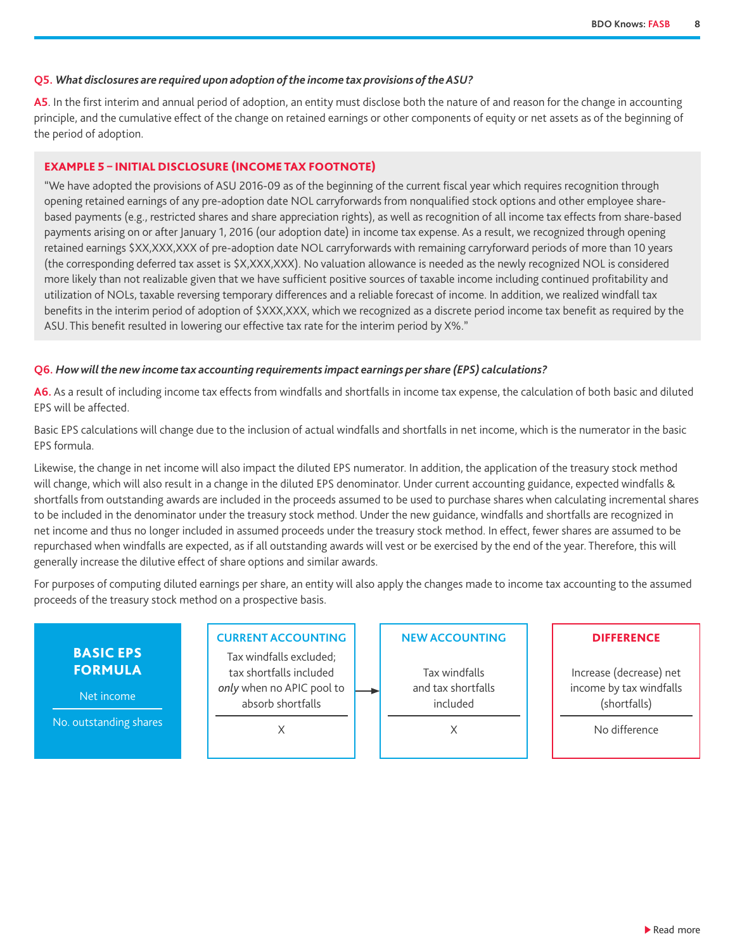#### **Q5.** *What disclosures are required upon adoption of the income tax provisions of the ASU?*

**A5**. In the first interim and annual period of adoption, an entity must disclose both the nature of and reason for the change in accounting principle, and the cumulative effect of the change on retained earnings or other components of equity or net assets as of the beginning of the period of adoption.

#### EXAMPLE 5 – INITIAL DISCLOSURE (INCOME TAX FOOTNOTE)

"We have adopted the provisions of ASU 2016-09 as of the beginning of the current fiscal year which requires recognition through opening retained earnings of any pre-adoption date NOL carryforwards from nonqualified stock options and other employee sharebased payments (e.g., restricted shares and share appreciation rights), as well as recognition of all income tax effects from share-based payments arising on or after January 1, 2016 (our adoption date) in income tax expense. As a result, we recognized through opening retained earnings \$XX,XXX,XXX of pre-adoption date NOL carryforwards with remaining carryforward periods of more than 10 years (the corresponding deferred tax asset is \$X,XXX,XXX). No valuation allowance is needed as the newly recognized NOL is considered more likely than not realizable given that we have sufficient positive sources of taxable income including continued profitability and utilization of NOLs, taxable reversing temporary differences and a reliable forecast of income. In addition, we realized windfall tax benefits in the interim period of adoption of \$XXX,XXX, which we recognized as a discrete period income tax benefit as required by the ASU. This benefit resulted in lowering our effective tax rate for the interim period by X%."

#### **Q6.** *How will the new income tax accounting requirements impact earnings per share (EPS) calculations?*

**A6.** As a result of including income tax effects from windfalls and shortfalls in income tax expense, the calculation of both basic and diluted EPS will be affected.

Basic EPS calculations will change due to the inclusion of actual windfalls and shortfalls in net income, which is the numerator in the basic EPS formula.

Likewise, the change in net income will also impact the diluted EPS numerator. In addition, the application of the treasury stock method will change, which will also result in a change in the diluted EPS denominator. Under current accounting guidance, expected windfalls & shortfalls from outstanding awards are included in the proceeds assumed to be used to purchase shares when calculating incremental shares to be included in the denominator under the treasury stock method. Under the new guidance, windfalls and shortfalls are recognized in net income and thus no longer included in assumed proceeds under the treasury stock method. In effect, fewer shares are assumed to be repurchased when windfalls are expected, as if all outstanding awards will vest or be exercised by the end of the year. Therefore, this will generally increase the dilutive effect of share options and similar awards.

For purposes of computing diluted earnings per share, an entity will also apply the changes made to income tax accounting to the assumed proceeds of the treasury stock method on a prospective basis.

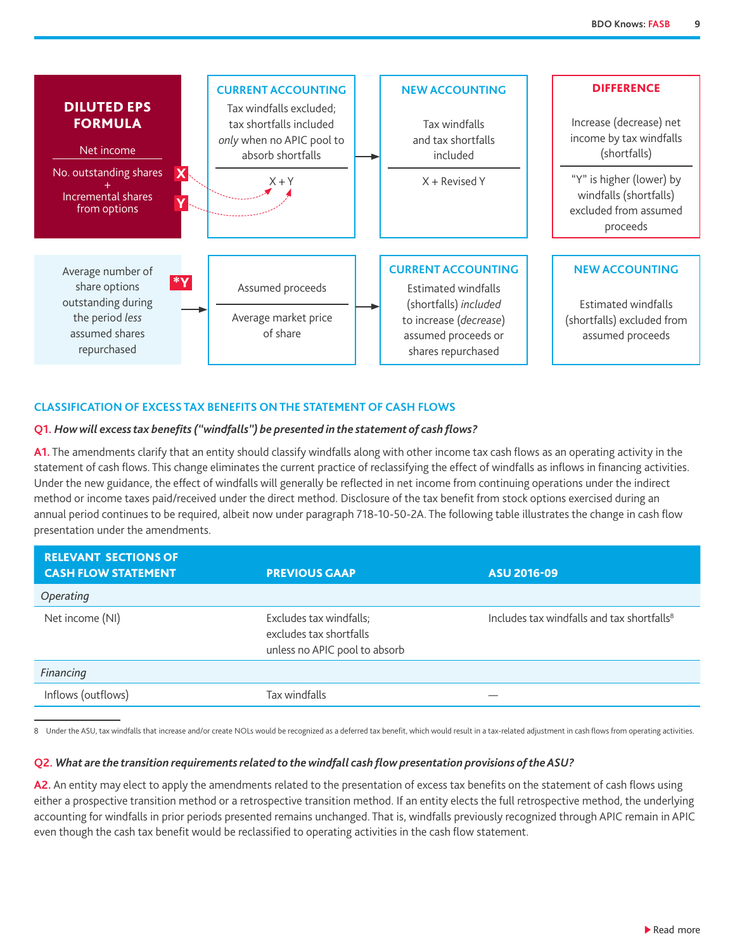<span id="page-8-0"></span>

#### **CLASSIFICATION OF EXCESS TAX BENEFITS ON THE STATEMENT OF CASH FLOWS**

#### **Q1.** *How will excess tax benefits ("windfalls") be presented in the statement of cash flows?*

**A1.** The amendments clarify that an entity should classify windfalls along with other income tax cash flows as an operating activity in the statement of cash flows. This change eliminates the current practice of reclassifying the effect of windfalls as inflows in financing activities. Under the new guidance, the effect of windfalls will generally be reflected in net income from continuing operations under the indirect method or income taxes paid/received under the direct method. Disclosure of the tax benefit from stock options exercised during an annual period continues to be required, albeit now under paragraph 718-10-50-2A. The following table illustrates the change in cash flow presentation under the amendments.

| <b>RELEVANT SECTIONS OF</b><br><b>CASH FLOW STATEMENT</b> | <b>PREVIOUS GAAP</b>                                                                | <b>ASU 2016-09</b>                                     |
|-----------------------------------------------------------|-------------------------------------------------------------------------------------|--------------------------------------------------------|
| Operating                                                 |                                                                                     |                                                        |
| Net income (NI)                                           | Excludes tax windfalls;<br>excludes tax shortfalls<br>unless no APIC pool to absorb | Includes tax windfalls and tax shortfalls <sup>8</sup> |
| Financing                                                 |                                                                                     |                                                        |
| Inflows (outflows)                                        | Tax windfalls                                                                       |                                                        |

8 Under the ASU, tax windfalls that increase and/or create NOLs would be recognized as a deferred tax benefit, which would result in a tax-related adjustment in cash flows from operating activities.

#### **Q2.** *What are the transition requirements related to the windfall cash flow presentation provisions of the ASU?*

A2. An entity may elect to apply the amendments related to the presentation of excess tax benefits on the statement of cash flows using either a prospective transition method or a retrospective transition method. If an entity elects the full retrospective method, the underlying accounting for windfalls in prior periods presented remains unchanged. That is, windfalls previously recognized through APIC remain in APIC even though the cash tax benefit would be reclassified to operating activities in the cash flow statement.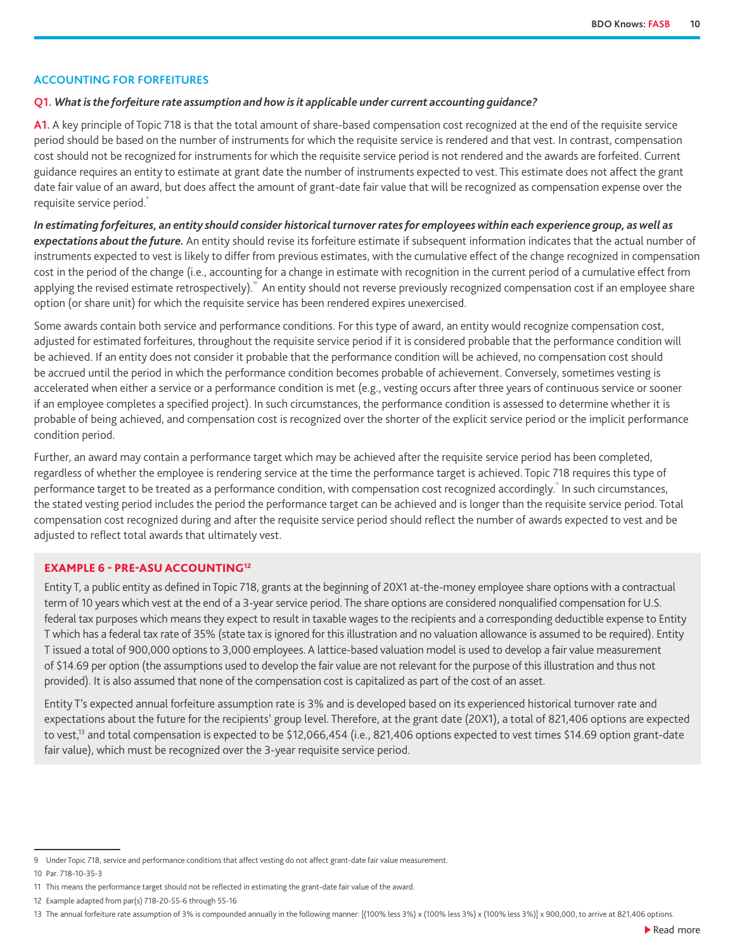#### <span id="page-9-0"></span>**ACCOUNTING FOR FORFEITURES**

#### **Q1.** *What is the forfeiture rate assumption and how is it applicable under current accounting guidance?*

A1. A key principle of Topic 718 is that the total amount of share-based compensation cost recognized at the end of the requisite service period should be based on the number of instruments for which the requisite service is rendered and that vest. In contrast, compensation cost should not be recognized for instruments for which the requisite service period is not rendered and the awards are forfeited. Current guidance requires an entity to estimate at grant date the number of instruments expected to vest. This estimate does not affect the grant date fair value of an award, but does affect the amount of grant-date fair value that will be recognized as compensation expense over the requisite service period.

*In estimating forfeitures, an entity should consider historical turnover rates for employees within each experience group, as well as expectations about the future.* An entity should revise its forfeiture estimate if subsequent information indicates that the actual number of instruments expected to vest is likely to differ from previous estimates, with the cumulative effect of the change recognized in compensation cost in the period of the change (i.e., accounting for a change in estimate with recognition in the current period of a cumulative effect from applying the revised estimate retrospectively). An entity should not reverse previously recognized compensation cost if an employee share option (or share unit) for which the requisite service has been rendered expires unexercised.

Some awards contain both service and performance conditions. For this type of award, an entity would recognize compensation cost, adjusted for estimated forfeitures, throughout the requisite service period if it is considered probable that the performance condition will be achieved. If an entity does not consider it probable that the performance condition will be achieved, no compensation cost should be accrued until the period in which the performance condition becomes probable of achievement. Conversely, sometimes vesting is accelerated when either a service or a performance condition is met (e.g., vesting occurs after three years of continuous service or sooner if an employee completes a specified project). In such circumstances, the performance condition is assessed to determine whether it is probable of being achieved, and compensation cost is recognized over the shorter of the explicit service period or the implicit performance condition period.

Further, an award may contain a performance target which may be achieved after the requisite service period has been completed, regardless of whether the employee is rendering service at the time the performance target is achieved. Topic 718 requires this type of performance target to be treated as a performance condition, with compensation cost recognized accordingly.<sup>"</sup> In such circumstances, the stated vesting period includes the period the performance target can be achieved and is longer than the requisite service period. Total compensation cost recognized during and after the requisite service period should reflect the number of awards expected to vest and be adjusted to reflect total awards that ultimately vest.

#### EXAMPLE 6 - PRE-ASU ACCOUNTING12

Entity T, a public entity as defined in Topic 718, grants at the beginning of 20X1 at-the-money employee share options with a contractual term of 10 years which vest at the end of a 3-year service period. The share options are considered nonqualified compensation for U.S. federal tax purposes which means they expect to result in taxable wages to the recipients and a corresponding deductible expense to Entity T which has a federal tax rate of 35% (state tax is ignored for this illustration and no valuation allowance is assumed to be required). Entity T issued a total of 900,000 options to 3,000 employees. A lattice-based valuation model is used to develop a fair value measurement of \$14.69 per option (the assumptions used to develop the fair value are not relevant for the purpose of this illustration and thus not provided). It is also assumed that none of the compensation cost is capitalized as part of the cost of an asset.

Entity T's expected annual forfeiture assumption rate is 3% and is developed based on its experienced historical turnover rate and expectations about the future for the recipients' group level. Therefore, at the grant date (20X1), a total of 821,406 options are expected to vest,<sup>13</sup> and total compensation is expected to be \$12,066,454 (i.e., 821,406 options expected to vest times \$14.69 option grant-date fair value), which must be recognized over the 3-year requisite service period.

<sup>9</sup> Under Topic 718, service and performance conditions that affect vesting do not affect grant-date fair value measurement.

<sup>10</sup> Par. 718-10-35-3

<sup>11</sup> This means the performance target should not be reflected in estimating the grant-date fair value of the award.

<sup>12</sup> Example adapted from par(s) 718-20-55-6 through 55-16

<sup>13</sup> The annual forfeiture rate assumption of 3% is compounded annually in the following manner: [(100% less 3%) x (100% less 3%) x (100% less 3%)] x 900,000, to arrive at 821,406 options.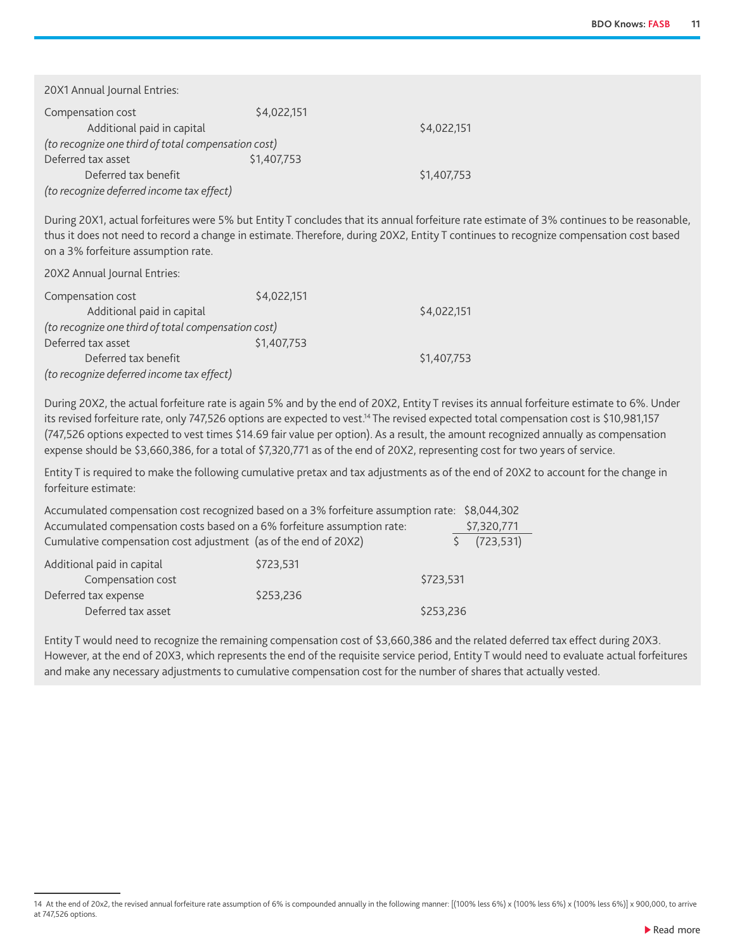| 20X1 Annual Journal Entries:                        |             |             |
|-----------------------------------------------------|-------------|-------------|
| Compensation cost                                   | \$4,022,151 |             |
| Additional paid in capital                          |             | \$4,022,151 |
| (to recognize one third of total compensation cost) |             |             |
| Deferred tax asset                                  | \$1,407,753 |             |
| Deferred tax benefit                                |             | \$1,407,753 |
| (to recognize deferred income tax effect)           |             |             |

During 20X1, actual forfeitures were 5% but Entity T concludes that its annual forfeiture rate estimate of 3% continues to be reasonable, thus it does not need to record a change in estimate. Therefore, during 20X2, Entity T continues to recognize compensation cost based on a 3% forfeiture assumption rate.

20X2 Annual Journal Entries:

| Compensation cost                                   | \$4,022,151 |             |
|-----------------------------------------------------|-------------|-------------|
| Additional paid in capital                          |             | \$4,022,151 |
| (to recognize one third of total compensation cost) |             |             |
| Deferred tax asset                                  | \$1,407,753 |             |
| Deferred tax benefit                                |             | \$1,407,753 |
| (to recognize deferred income tax effect)           |             |             |

During 20X2, the actual forfeiture rate is again 5% and by the end of 20X2, Entity T revises its annual forfeiture estimate to 6%. Under its revised forfeiture rate, only 747,526 options are expected to vest.<sup>14</sup> The revised expected total compensation cost is \$10,981,157 (747,526 options expected to vest times \$14.69 fair value per option). As a result, the amount recognized annually as compensation expense should be \$3,660,386, for a total of \$7,320,771 as of the end of 20X2, representing cost for two years of service.

Entity T is required to make the following cumulative pretax and tax adjustments as of the end of 20X2 to account for the change in forfeiture estimate:

| Accumulated compensation cost recognized based on a 3% forfeiture assumption rate: \$8,044,302 |           |           |             |
|------------------------------------------------------------------------------------------------|-----------|-----------|-------------|
| Accumulated compensation costs based on a 6% forfeiture assumption rate:                       |           |           | \$7,320,771 |
| Cumulative compensation cost adjustment (as of the end of 20X2)                                |           |           | (723, 531)  |
| Additional paid in capital                                                                     | \$723,531 |           |             |
| Compensation cost                                                                              |           | \$723,531 |             |
| Deferred tax expense                                                                           | \$253,236 |           |             |
| Deferred tax asset                                                                             |           | \$253,236 |             |

Entity T would need to recognize the remaining compensation cost of \$3,660,386 and the related deferred tax effect during 20X3. However, at the end of 20X3, which represents the end of the requisite service period, Entity T would need to evaluate actual forfeitures and make any necessary adjustments to cumulative compensation cost for the number of shares that actually vested.

<sup>14</sup> At the end of 20x2, the revised annual forfeiture rate assumption of 6% is compounded annually in the following manner: [(100% less 6%) x (100% less 6%) x (100% less 6%)] x 900,000, to arrive at 747,526 options.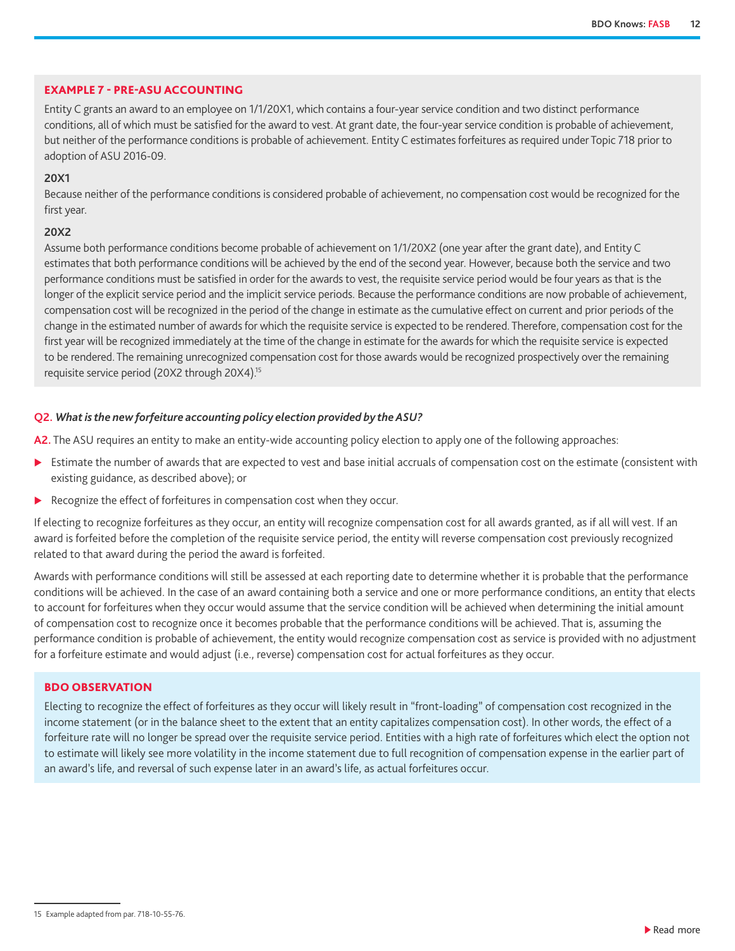#### EXAMPLE 7 - PRE-ASU ACCOUNTING

Entity C grants an award to an employee on 1/1/20X1, which contains a four-year service condition and two distinct performance conditions, all of which must be satisfied for the award to vest. At grant date, the four-year service condition is probable of achievement, but neither of the performance conditions is probable of achievement. Entity C estimates forfeitures as required under Topic 718 prior to adoption of ASU 2016-09.

#### **20X1**

Because neither of the performance conditions is considered probable of achievement, no compensation cost would be recognized for the first year.

#### **20X2**

Assume both performance conditions become probable of achievement on 1/1/20X2 (one year after the grant date), and Entity C estimates that both performance conditions will be achieved by the end of the second year. However, because both the service and two performance conditions must be satisfied in order for the awards to vest, the requisite service period would be four years as that is the longer of the explicit service period and the implicit service periods. Because the performance conditions are now probable of achievement, compensation cost will be recognized in the period of the change in estimate as the cumulative effect on current and prior periods of the change in the estimated number of awards for which the requisite service is expected to be rendered. Therefore, compensation cost for the first year will be recognized immediately at the time of the change in estimate for the awards for which the requisite service is expected to be rendered. The remaining unrecognized compensation cost for those awards would be recognized prospectively over the remaining requisite service period (20X2 through 20X4).15

#### **Q2.** *What is the new forfeiture accounting policy election provided by the ASU?*

A2. The ASU requires an entity to make an entity-wide accounting policy election to apply one of the following approaches:

- Estimate the number of awards that are expected to vest and base initial accruals of compensation cost on the estimate (consistent with existing guidance, as described above); or
- $\blacktriangleright$  Recognize the effect of forfeitures in compensation cost when they occur.

If electing to recognize forfeitures as they occur, an entity will recognize compensation cost for all awards granted, as if all will vest. If an award is forfeited before the completion of the requisite service period, the entity will reverse compensation cost previously recognized related to that award during the period the award is forfeited.

Awards with performance conditions will still be assessed at each reporting date to determine whether it is probable that the performance conditions will be achieved. In the case of an award containing both a service and one or more performance conditions, an entity that elects to account for forfeitures when they occur would assume that the service condition will be achieved when determining the initial amount of compensation cost to recognize once it becomes probable that the performance conditions will be achieved. That is, assuming the performance condition is probable of achievement, the entity would recognize compensation cost as service is provided with no adjustment for a forfeiture estimate and would adjust (i.e., reverse) compensation cost for actual forfeitures as they occur.

#### BDO OBSERVATION

Electing to recognize the effect of forfeitures as they occur will likely result in "front-loading" of compensation cost recognized in the income statement (or in the balance sheet to the extent that an entity capitalizes compensation cost). In other words, the effect of a forfeiture rate will no longer be spread over the requisite service period. Entities with a high rate of forfeitures which elect the option not to estimate will likely see more volatility in the income statement due to full recognition of compensation expense in the earlier part of an award's life, and reversal of such expense later in an award's life, as actual forfeitures occur.

<sup>15</sup> Example adapted from par. 718-10-55-76.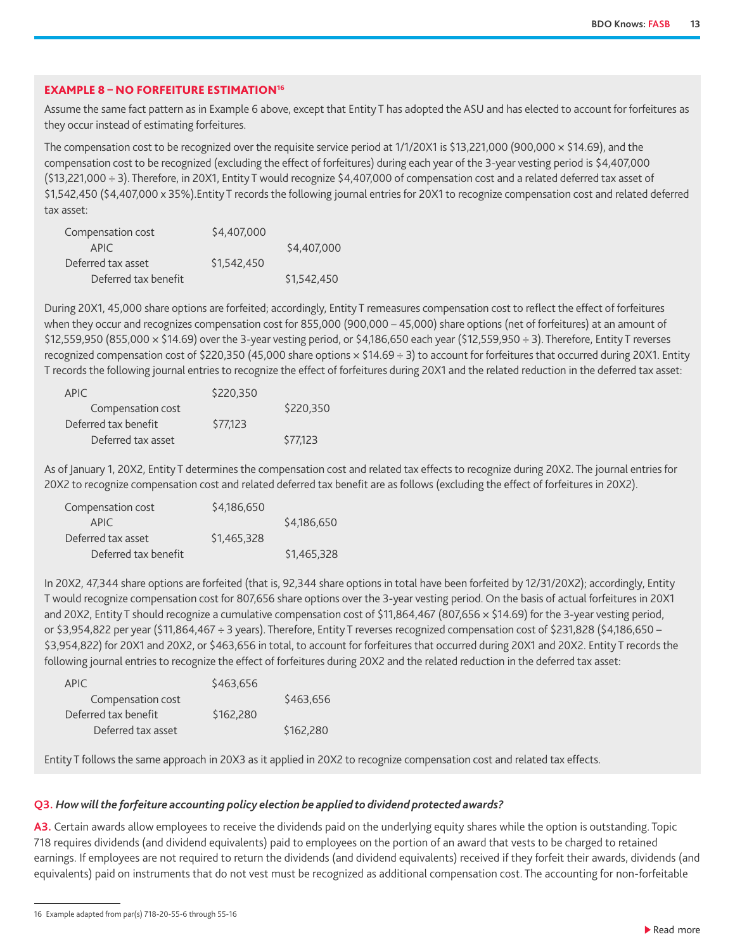#### EXAMPLE 8 – NO FORFEITURE ESTIMATION16

Assume the same fact pattern as in Example 6 above, except that Entity T has adopted the ASU and has elected to account for forfeitures as they occur instead of estimating forfeitures.

The compensation cost to be recognized over the requisite service period at  $1/1/20X1$  is \$13,221,000 (900,000  $\times$  \$14.69), and the compensation cost to be recognized (excluding the effect of forfeitures) during each year of the 3-year vesting period is \$4,407,000 (\$13,221,000 ÷ 3). Therefore, in 20X1, Entity T would recognize \$4,407,000 of compensation cost and a related deferred tax asset of \$1,542,450 (\$4,407,000 x 35%).Entity T records the following journal entries for 20X1 to recognize compensation cost and related deferred tax asset:

| Compensation cost    | \$4,407,000 |             |
|----------------------|-------------|-------------|
| APIC.                |             | \$4,407,000 |
| Deferred tax asset   | \$1,542,450 |             |
| Deferred tax benefit |             | \$1,542,450 |

During 20X1, 45,000 share options are forfeited; accordingly, Entity T remeasures compensation cost to reflect the effect of forfeitures when they occur and recognizes compensation cost for 855,000 (900,000 – 45,000) share options (net of forfeitures) at an amount of \$12,559,950 (855,000 × \$14.69) over the 3-year vesting period, or \$4,186,650 each year (\$12,559,950 ÷ 3). Therefore, Entity T reverses recognized compensation cost of \$220,350 (45,000 share options  $\times$  \$14.69  $\div$  3) to account for forfeitures that occurred during 20X1. Entity T records the following journal entries to recognize the effect of forfeitures during 20X1 and the related reduction in the deferred tax asset:

| APIC.                | \$220,350 |           |
|----------------------|-----------|-----------|
| Compensation cost    |           | \$220,350 |
| Deferred tax benefit | \$77.123  |           |
| Deferred tax asset   |           | \$77,123  |

As of January 1, 20X2, Entity T determines the compensation cost and related tax effects to recognize during 20X2. The journal entries for 20X2 to recognize compensation cost and related deferred tax benefit are as follows (excluding the effect of forfeitures in 20X2).

| Compensation cost    | \$4,186,650 |             |
|----------------------|-------------|-------------|
| APIC.                |             | \$4,186,650 |
| Deferred tax asset   | \$1.465.328 |             |
| Deferred tax benefit |             | \$1,465,328 |

In 20X2, 47,344 share options are forfeited (that is, 92,344 share options in total have been forfeited by 12/31/20X2); accordingly, Entity T would recognize compensation cost for 807,656 share options over the 3-year vesting period. On the basis of actual forfeitures in 20X1 and 20X2, Entity T should recognize a cumulative compensation cost of \$11,864,467 (807,656 x \$14.69) for the 3-year vesting period, or \$3,954,822 per year (\$11,864,467 ÷ 3 years). Therefore, Entity T reverses recognized compensation cost of \$231,828 (\$4,186,650 – \$3,954,822) for 20X1 and 20X2, or \$463,656 in total, to account for forfeitures that occurred during 20X1 and 20X2. Entity T records the following journal entries to recognize the effect of forfeitures during 20X2 and the related reduction in the deferred tax asset:

| APIC.                | \$463,656 |           |
|----------------------|-----------|-----------|
| Compensation cost    |           | \$463,656 |
| Deferred tax benefit | \$162,280 |           |
| Deferred tax asset   |           | \$162,280 |

Entity T follows the same approach in 20X3 as it applied in 20X2 to recognize compensation cost and related tax effects.

#### **Q3.** *How will the forfeiture accounting policy election be applied to dividend protected awards?*

**A3.** Certain awards allow employees to receive the dividends paid on the underlying equity shares while the option is outstanding. Topic 718 requires dividends (and dividend equivalents) paid to employees on the portion of an award that vests to be charged to retained earnings. If employees are not required to return the dividends (and dividend equivalents) received if they forfeit their awards, dividends (and equivalents) paid on instruments that do not vest must be recognized as additional compensation cost. The accounting for non-forfeitable

<sup>16</sup> Example adapted from par(s) 718-20-55-6 through 55-16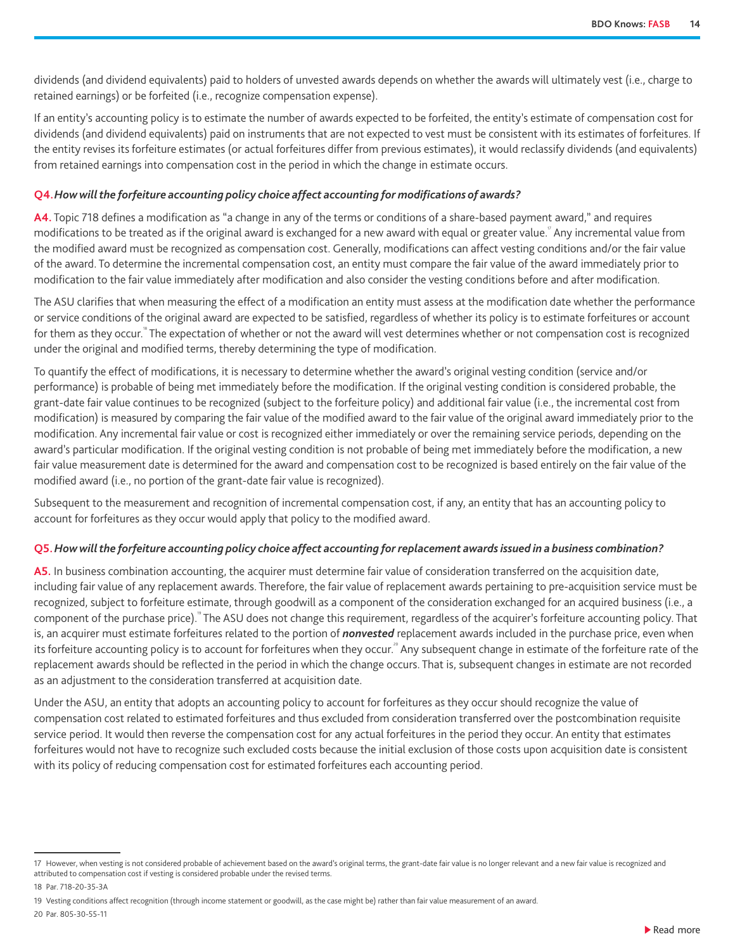dividends (and dividend equivalents) paid to holders of unvested awards depends on whether the awards will ultimately vest (i.e., charge to retained earnings) or be forfeited (i.e., recognize compensation expense).

If an entity's accounting policy is to estimate the number of awards expected to be forfeited, the entity's estimate of compensation cost for dividends (and dividend equivalents) paid on instruments that are not expected to vest must be consistent with its estimates of forfeitures. If the entity revises its forfeiture estimates (or actual forfeitures differ from previous estimates), it would reclassify dividends (and equivalents) from retained earnings into compensation cost in the period in which the change in estimate occurs.

#### **Q4.***How will the forfeiture accounting policy choice affect accounting for modifications of awards?*

**A4.** Topic 718 defines a modification as "a change in any of the terms or conditions of a share-based payment award," and requires modifications to be treated as if the original award is exchanged for a new award with equal or greater value.<sup>"</sup> Any incremental value from the modified award must be recognized as compensation cost. Generally, modifications can affect vesting conditions and/or the fair value of the award. To determine the incremental compensation cost, an entity must compare the fair value of the award immediately prior to modification to the fair value immediately after modification and also consider the vesting conditions before and after modification.

The ASU clarifies that when measuring the effect of a modification an entity must assess at the modification date whether the performance or service conditions of the original award are expected to be satisfied, regardless of whether its policy is to estimate forfeitures or account for them as they occur.<sup>"</sup> The expectation of whether or not the award will vest determines whether or not compensation cost is recognized under the original and modified terms, thereby determining the type of modification.

To quantify the effect of modifications, it is necessary to determine whether the award's original vesting condition (service and/or performance) is probable of being met immediately before the modification. If the original vesting condition is considered probable, the grant-date fair value continues to be recognized (subject to the forfeiture policy) and additional fair value (i.e., the incremental cost from modification) is measured by comparing the fair value of the modified award to the fair value of the original award immediately prior to the modification. Any incremental fair value or cost is recognized either immediately or over the remaining service periods, depending on the award's particular modification. If the original vesting condition is not probable of being met immediately before the modification, a new fair value measurement date is determined for the award and compensation cost to be recognized is based entirely on the fair value of the modified award (i.e., no portion of the grant-date fair value is recognized).

Subsequent to the measurement and recognition of incremental compensation cost, if any, an entity that has an accounting policy to account for forfeitures as they occur would apply that policy to the modified award.

#### **Q5.***How will the forfeiture accounting policy choice affect accounting for replacement awards issued in a business combination?*

**A5.** In business combination accounting, the acquirer must determine fair value of consideration transferred on the acquisition date, including fair value of any replacement awards. Therefore, the fair value of replacement awards pertaining to pre-acquisition service must be recognized, subject to forfeiture estimate, through goodwill as a component of the consideration exchanged for an acquired business (i.e., a component of the purchase price). The ASU does not change this requirement, regardless of the acquirer's forfeiture accounting policy. That is, an acquirer must estimate forfeitures related to the portion of *nonvested* replacement awards included in the purchase price, even when its forfeiture accounting policy is to account for forfeitures when they occur.<sup>2</sup> Any subsequent change in estimate of the forfeiture rate of the replacement awards should be reflected in the period in which the change occurs. That is, subsequent changes in estimate are not recorded as an adjustment to the consideration transferred at acquisition date.

Under the ASU, an entity that adopts an accounting policy to account for forfeitures as they occur should recognize the value of compensation cost related to estimated forfeitures and thus excluded from consideration transferred over the postcombination requisite service period. It would then reverse the compensation cost for any actual forfeitures in the period they occur. An entity that estimates forfeitures would not have to recognize such excluded costs because the initial exclusion of those costs upon acquisition date is consistent with its policy of reducing compensation cost for estimated forfeitures each accounting period.

<sup>17</sup> However, when vesting is not considered probable of achievement based on the award's original terms, the grant-date fair value is no longer relevant and a new fair value is recognized and attributed to compensation cost if vesting is considered probable under the revised terms.

<sup>18</sup> Par. 718-20-35-3A

<sup>19</sup> Vesting conditions affect recognition (through income statement or goodwill, as the case might be) rather than fair value measurement of an award.

<sup>20</sup> Par. 805-30-55-11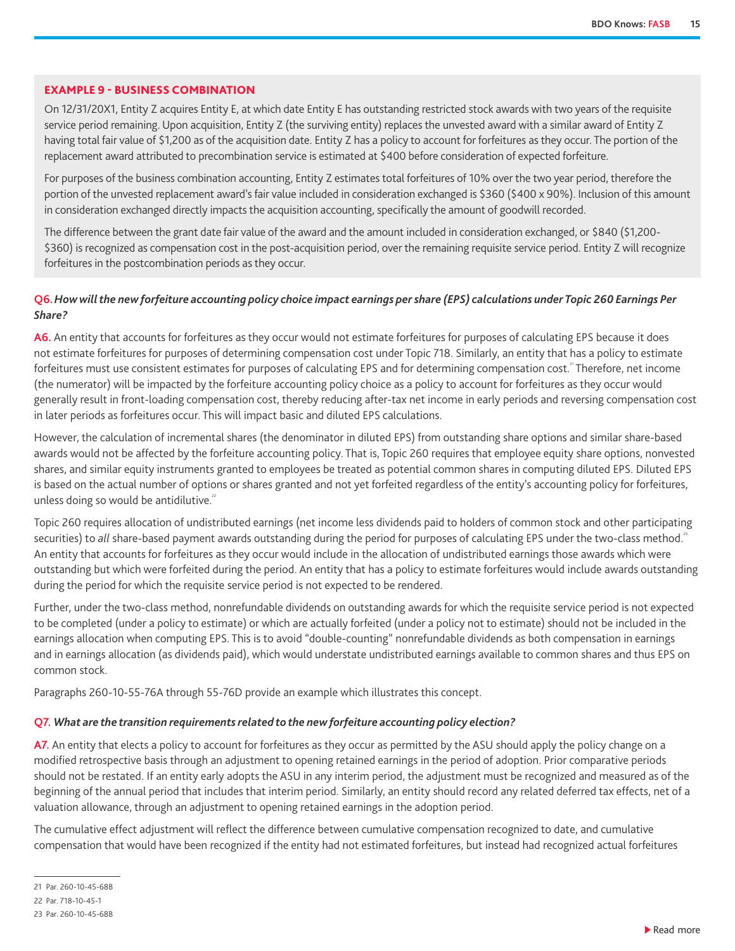#### EXAMPLE 9 - BUSINESS COMBINATION

On 12/31/20X1, Entity Z acquires Entity E, at which date Entity E has outstanding restricted stock awards with two years of the requisite service period remaining. Upon acquisition, Entity Z (the surviving entity) replaces the unvested award with a similar award of Entity Z having total fair value of \$1,200 as of the acquisition date. Entity Z has a policy to account for forfeitures as they occur. The portion of the replacement award attributed to precombination service is estimated at \$400 before consideration of expected forfeiture.

For purposes of the business combination accounting, Entity Z estimates total forfeitures of 10% over the two year period, therefore the portion of the unvested replacement award's fair value included in consideration exchanged is \$360 (\$400 x 90%). Inclusion of this amount in consideration exchanged directly impacts the acquisition accounting, specifically the amount of goodwill recorded.

The difference between the grant date fair value of the award and the amount included in consideration exchanged, or \$840 (\$1,200- \$360) is recognized as compensation cost in the post-acquisition period, over the remaining requisite service period. Entity Z will recognize forfeitures in the postcombination periods as they occur.

#### **Q6.** *How will the new forfeiture accounting policy choice impact earnings per share (EPS) calculations under Topic 260 Earnings Per Share?*

**A6.** An entity that accounts for forfeitures as they occur would not estimate forfeitures for purposes of calculating EPS because it does not estimate forfeitures for purposes of determining compensation cost under Topic 718. Similarly, an entity that has a policy to estimate forfeitures must use consistent estimates for purposes of calculating EPS and for determining compensation cost.<sup>2</sup> Therefore, net income (the numerator) will be impacted by the forfeiture accounting policy choice as a policy to account for forfeitures as they occur would generally result in front-loading compensation cost, thereby reducing after-tax net income in early periods and reversing compensation cost in later periods as forfeitures occur. This will impact basic and diluted EPS calculations.

However, the calculation of incremental shares (the denominator in diluted EPS) from outstanding share options and similar share-based awards would not be affected by the forfeiture accounting policy. That is, Topic 260 requires that employee equity share options, nonvested shares, and similar equity instruments granted to employees be treated as potential common shares in computing diluted EPS. Diluted EPS is based on the actual number of options or shares granted and not yet forfeited regardless of the entity's accounting policy for forfeitures, unless doing so would be antidilutive. $2^2$ 

Topic 260 requires allocation of undistributed earnings (net income less dividends paid to holders of common stock and other participating securities) to all share-based payment awards outstanding during the period for purposes of calculating EPS under the two-class method.<sup>2</sup> An entity that accounts for forfeitures as they occur would include in the allocation of undistributed earnings those awards which were outstanding but which were forfeited during the period. An entity that has a policy to estimate forfeitures would include awards outstanding during the period for which the requisite service period is not expected to be rendered.

Further, under the two-class method, nonrefundable dividends on outstanding awards for which the requisite service period is not expected to be completed (under a policy to estimate) or which are actually forfeited (under a policy not to estimate) should not be included in the earnings allocation when computing EPS. This is to avoid "double-counting" nonrefundable dividends as both compensation in earnings and in earnings allocation (as dividends paid), which would understate undistributed earnings available to common shares and thus EPS on common stock.

Paragraphs 260-10-55-76A through 55-76D provide an example which illustrates this concept.

#### **Q7.** *What are the transition requirements related to the new forfeiture accounting policy election?*

A7. An entity that elects a policy to account for forfeitures as they occur as permitted by the ASU should apply the policy change on a modified retrospective basis through an adjustment to opening retained earnings in the period of adoption. Prior comparative periods should not be restated. If an entity early adopts the ASU in any interim period, the adjustment must be recognized and measured as of the beginning of the annual period that includes that interim period. Similarly, an entity should record any related deferred tax effects, net of a valuation allowance, through an adjustment to opening retained earnings in the adoption period.

The cumulative effect adjustment will reflect the difference between cumulative compensation recognized to date, and cumulative compensation that would have been recognized if the entity had not estimated forfeitures, but instead had recognized actual forfeitures

<sup>21</sup> Par. 260-10-45-68B

<sup>22</sup> Par. 718-10-45-1

<sup>23</sup> Par. 260-10-45-68B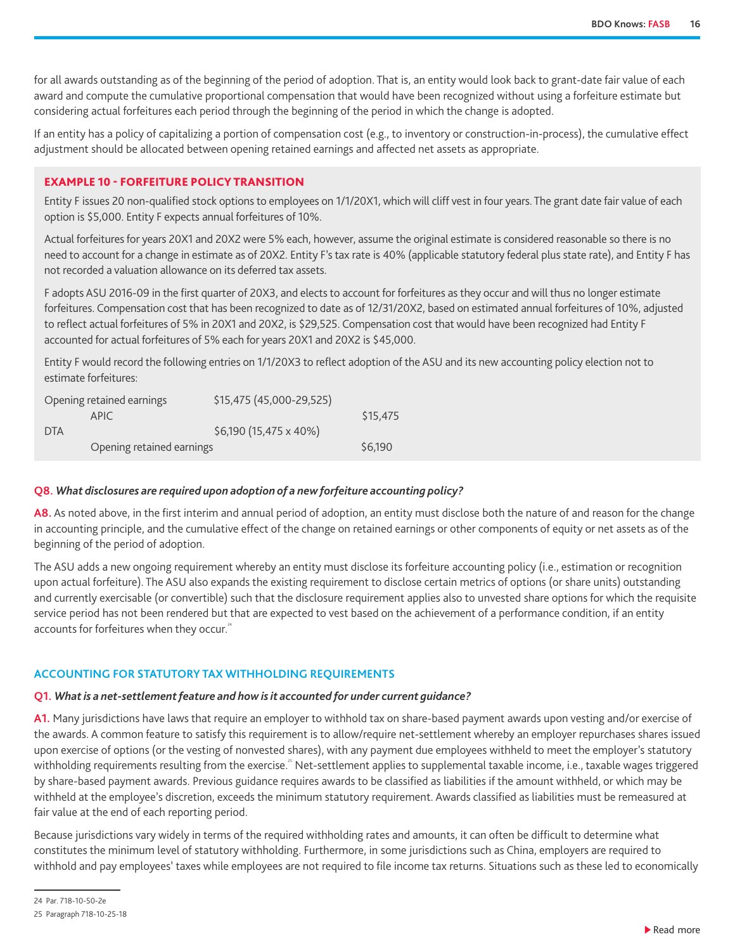<span id="page-15-0"></span>for all awards outstanding as of the beginning of the period of adoption. That is, an entity would look back to grant-date fair value of each award and compute the cumulative proportional compensation that would have been recognized without using a forfeiture estimate but considering actual forfeitures each period through the beginning of the period in which the change is adopted.

If an entity has a policy of capitalizing a portion of compensation cost (e.g., to inventory or construction-in-process), the cumulative effect adjustment should be allocated between opening retained earnings and affected net assets as appropriate.

#### EXAMPLE 10 - FORFEITURE POLICY TRANSITION

Entity F issues 20 non-qualified stock options to employees on 1/1/20X1, which will cliff vest in four years. The grant date fair value of each option is \$5,000. Entity F expects annual forfeitures of 10%.

Actual forfeitures for years 20X1 and 20X2 were 5% each, however, assume the original estimate is considered reasonable so there is no need to account for a change in estimate as of 20X2. Entity F's tax rate is 40% (applicable statutory federal plus state rate), and Entity F has not recorded a valuation allowance on its deferred tax assets.

F adopts ASU 2016-09 in the first quarter of 20X3, and elects to account for forfeitures as they occur and will thus no longer estimate forfeitures. Compensation cost that has been recognized to date as of 12/31/20X2, based on estimated annual forfeitures of 10%, adjusted to reflect actual forfeitures of 5% in 20X1 and 20X2, is \$29,525. Compensation cost that would have been recognized had Entity F accounted for actual forfeitures of 5% each for years 20X1 and 20X2 is \$45,000.

Entity F would record the following entries on 1/1/20X3 to reflect adoption of the ASU and its new accounting policy election not to estimate forfeitures:

|            | Opening retained earnings | \$15,475 (45,000-29,525) |          |
|------------|---------------------------|--------------------------|----------|
|            | APIC.                     |                          | \$15,475 |
| <b>DTA</b> |                           | \$6,190 (15,475 x 40%)   |          |
|            | Opening retained earnings |                          | \$6,190  |

#### **Q8.** *What disclosures are required upon adoption of a new forfeiture accounting policy?*

**A8.** As noted above, in the first interim and annual period of adoption, an entity must disclose both the nature of and reason for the change in accounting principle, and the cumulative effect of the change on retained earnings or other components of equity or net assets as of the beginning of the period of adoption.

The ASU adds a new ongoing requirement whereby an entity must disclose its forfeiture accounting policy (i.e., estimation or recognition upon actual forfeiture). The ASU also expands the existing requirement to disclose certain metrics of options (or share units) outstanding and currently exercisable (or convertible) such that the disclosure requirement applies also to unvested share options for which the requisite service period has not been rendered but that are expected to vest based on the achievement of a performance condition, if an entity accounts for forfeitures when they occur.<sup>24</sup>

#### **ACCOUNTING FOR STATUTORY TAX WITHHOLDING REQUIREMENTS**

#### **Q1.** *What is a net-settlement feature and how is it accounted for under current guidance?*

**A1.** Many jurisdictions have laws that require an employer to withhold tax on share-based payment awards upon vesting and/or exercise of the awards. A common feature to satisfy this requirement is to allow/require net-settlement whereby an employer repurchases shares issued upon exercise of options (or the vesting of nonvested shares), with any payment due employees withheld to meet the employer's statutory withholding requirements resulting from the exercise.<sup>25</sup> Net-settlement applies to supplemental taxable income, i.e., taxable wages triggered by share-based payment awards. Previous guidance requires awards to be classified as liabilities if the amount withheld, or which may be withheld at the employee's discretion, exceeds the minimum statutory requirement. Awards classified as liabilities must be remeasured at fair value at the end of each reporting period.

Because jurisdictions vary widely in terms of the required withholding rates and amounts, it can often be difficult to determine what constitutes the minimum level of statutory withholding. Furthermore, in some jurisdictions such as China, employers are required to withhold and pay employees' taxes while employees are not required to file income tax returns. Situations such as these led to economically

<sup>25</sup> Paragraph 718-10-25-18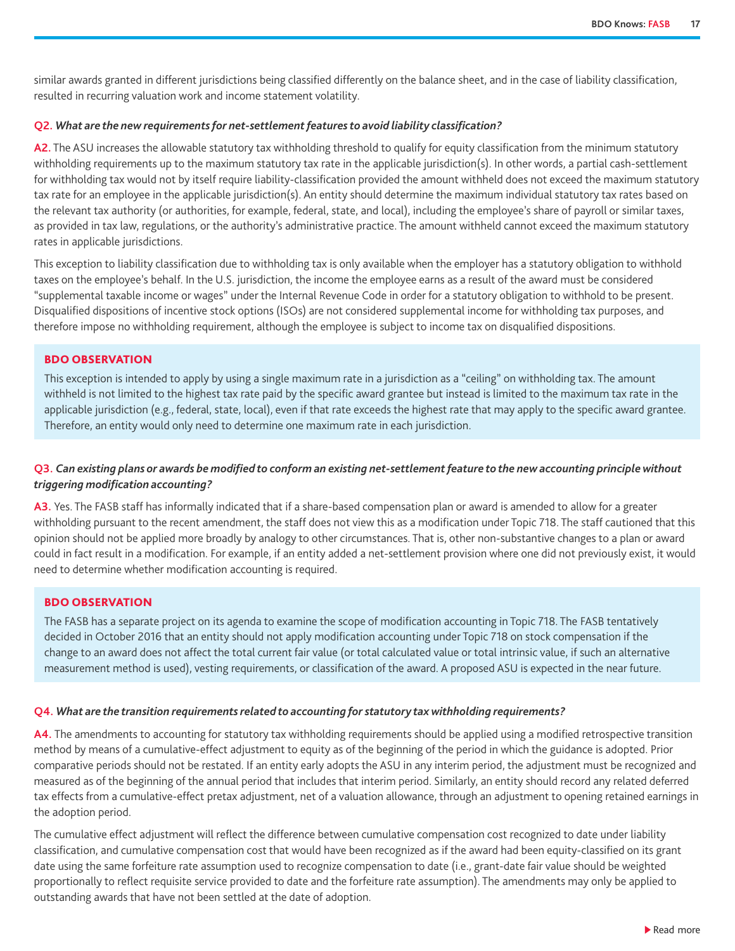similar awards granted in different jurisdictions being classified differently on the balance sheet, and in the case of liability classification, resulted in recurring valuation work and income statement volatility.

#### **Q2.** *What are the new requirements for net-settlement features to avoid liability classification?*

A2. The ASU increases the allowable statutory tax withholding threshold to qualify for equity classification from the minimum statutory withholding requirements up to the maximum statutory tax rate in the applicable jurisdiction(s). In other words, a partial cash-settlement for withholding tax would not by itself require liability-classification provided the amount withheld does not exceed the maximum statutory tax rate for an employee in the applicable jurisdiction(s). An entity should determine the maximum individual statutory tax rates based on the relevant tax authority (or authorities, for example, federal, state, and local), including the employee's share of payroll or similar taxes, as provided in tax law, regulations, or the authority's administrative practice. The amount withheld cannot exceed the maximum statutory rates in applicable jurisdictions.

This exception to liability classification due to withholding tax is only available when the employer has a statutory obligation to withhold taxes on the employee's behalf. In the U.S. jurisdiction, the income the employee earns as a result of the award must be considered "supplemental taxable income or wages" under the Internal Revenue Code in order for a statutory obligation to withhold to be present. Disqualified dispositions of incentive stock options (ISOs) are not considered supplemental income for withholding tax purposes, and therefore impose no withholding requirement, although the employee is subject to income tax on disqualified dispositions.

#### BDO OBSERVATION

This exception is intended to apply by using a single maximum rate in a jurisdiction as a "ceiling" on withholding tax. The amount withheld is not limited to the highest tax rate paid by the specific award grantee but instead is limited to the maximum tax rate in the applicable jurisdiction (e.g., federal, state, local), even if that rate exceeds the highest rate that may apply to the specific award grantee. Therefore, an entity would only need to determine one maximum rate in each jurisdiction.

#### **Q3.** *Can existing plans or awards be modified to conform an existing net-settlement feature to the new accounting principle without triggering modification accounting?*

**A3.** Yes. The FASB staff has informally indicated that if a share-based compensation plan or award is amended to allow for a greater withholding pursuant to the recent amendment, the staff does not view this as a modification under Topic 718. The staff cautioned that this opinion should not be applied more broadly by analogy to other circumstances. That is, other non-substantive changes to a plan or award could in fact result in a modification. For example, if an entity added a net-settlement provision where one did not previously exist, it would need to determine whether modification accounting is required.

#### BDO OBSERVATION

The FASB has a separate project on its agenda to examine the scope of modification accounting in Topic 718. The FASB tentatively decided in October 2016 that an entity should not apply modification accounting under Topic 718 on stock compensation if the change to an award does not affect the total current fair value (or total calculated value or total intrinsic value, if such an alternative measurement method is used), vesting requirements, or classification of the award. A proposed ASU is expected in the near future.

#### **Q4.** *What are the transition requirements related to accounting for statutory tax withholding requirements?*

**A4.** The amendments to accounting for statutory tax withholding requirements should be applied using a modified retrospective transition method by means of a cumulative-effect adjustment to equity as of the beginning of the period in which the guidance is adopted. Prior comparative periods should not be restated. If an entity early adopts the ASU in any interim period, the adjustment must be recognized and measured as of the beginning of the annual period that includes that interim period. Similarly, an entity should record any related deferred tax effects from a cumulative-effect pretax adjustment, net of a valuation allowance, through an adjustment to opening retained earnings in the adoption period.

The cumulative effect adjustment will reflect the difference between cumulative compensation cost recognized to date under liability classification, and cumulative compensation cost that would have been recognized as if the award had been equity-classified on its grant date using the same forfeiture rate assumption used to recognize compensation to date (i.e., grant-date fair value should be weighted proportionally to reflect requisite service provided to date and the forfeiture rate assumption). The amendments may only be applied to outstanding awards that have not been settled at the date of adoption.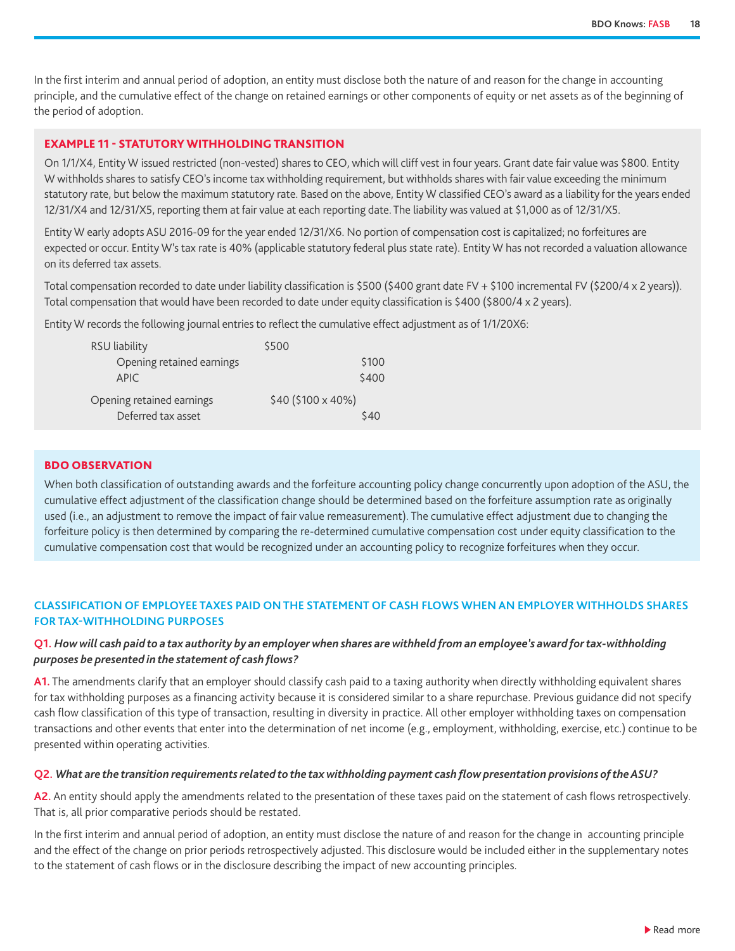<span id="page-17-0"></span>In the first interim and annual period of adoption, an entity must disclose both the nature of and reason for the change in accounting principle, and the cumulative effect of the change on retained earnings or other components of equity or net assets as of the beginning of the period of adoption.

#### EXAMPLE 11 - STATUTORY WITHHOLDING TRANSITION

On 1/1/X4, Entity W issued restricted (non-vested) shares to CEO, which will cliff vest in four years. Grant date fair value was \$800. Entity W withholds shares to satisfy CEO's income tax withholding requirement, but withholds shares with fair value exceeding the minimum statutory rate, but below the maximum statutory rate. Based on the above, Entity W classified CEO's award as a liability for the years ended 12/31/X4 and 12/31/X5, reporting them at fair value at each reporting date. The liability was valued at \$1,000 as of 12/31/X5.

Entity W early adopts ASU 2016-09 for the year ended 12/31/X6. No portion of compensation cost is capitalized; no forfeitures are expected or occur. Entity W's tax rate is 40% (applicable statutory federal plus state rate). Entity W has not recorded a valuation allowance on its deferred tax assets.

Total compensation recorded to date under liability classification is \$500 (\$400 grant date FV + \$100 incremental FV (\$200/4 x 2 years)). Total compensation that would have been recorded to date under equity classification is \$400 (\$800/4 x 2 years).

Entity W records the following journal entries to reflect the cumulative effect adjustment as of 1/1/20X6:

| RSU liability             | \$500              |
|---------------------------|--------------------|
| Opening retained earnings | \$100              |
| <b>APIC</b>               | \$400              |
| Opening retained earnings | \$40 (\$100 x 40%) |
| Deferred tax asset        | \$40               |

#### BDO OBSERVATION

When both classification of outstanding awards and the forfeiture accounting policy change concurrently upon adoption of the ASU, the cumulative effect adjustment of the classification change should be determined based on the forfeiture assumption rate as originally used (i.e., an adjustment to remove the impact of fair value remeasurement). The cumulative effect adjustment due to changing the forfeiture policy is then determined by comparing the re-determined cumulative compensation cost under equity classification to the cumulative compensation cost that would be recognized under an accounting policy to recognize forfeitures when they occur.

#### **CLASSIFICATION OF EMPLOYEE TAXES PAID ON THE STATEMENT OF CASH FLOWS WHEN AN EMPLOYER WITHHOLDS SHARES FOR TAX-WITHHOLDING PURPOSES**

#### **Q1.** *How will cash paid to a tax authority by an employer when shares are withheld from an employee's award for tax-withholding purposes be presented in the statement of cash flows?*

**A1.** The amendments clarify that an employer should classify cash paid to a taxing authority when directly withholding equivalent shares for tax withholding purposes as a financing activity because it is considered similar to a share repurchase. Previous guidance did not specify cash flow classification of this type of transaction, resulting in diversity in practice. All other employer withholding taxes on compensation transactions and other events that enter into the determination of net income (e.g., employment, withholding, exercise, etc.) continue to be presented within operating activities.

#### **Q2.** *What are the transition requirements related to the tax withholding payment cash flow presentation provisions of the ASU?*

**A2.** An entity should apply the amendments related to the presentation of these taxes paid on the statement of cash flows retrospectively. That is, all prior comparative periods should be restated.

In the first interim and annual period of adoption, an entity must disclose the nature of and reason for the change in accounting principle and the effect of the change on prior periods retrospectively adjusted. This disclosure would be included either in the supplementary notes to the statement of cash flows or in the disclosure describing the impact of new accounting principles.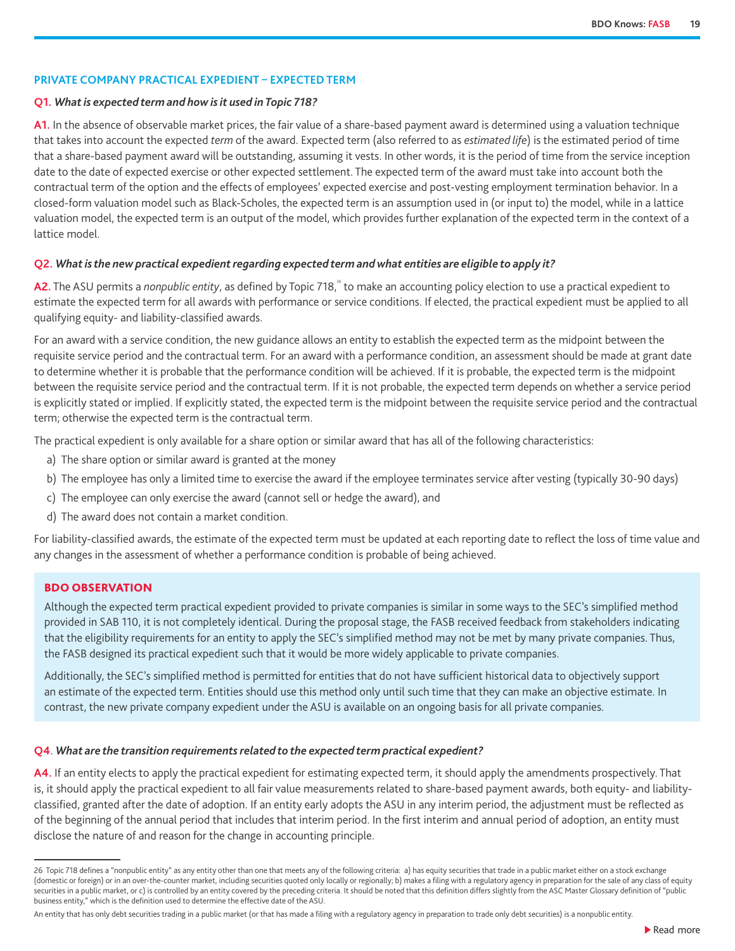#### <span id="page-18-0"></span>**PRIVATE COMPANY PRACTICAL EXPEDIENT – EXPECTED TERM**

#### **Q1.** *What is expected term and how is it used in Topic 718?*

**A1.** In the absence of observable market prices, the fair value of a share-based payment award is determined using a valuation technique that takes into account the expected *term* of the award. Expected term (also referred to as *estimated life*) is the estimated period of time that a share-based payment award will be outstanding, assuming it vests. In other words, it is the period of time from the service inception date to the date of expected exercise or other expected settlement. The expected term of the award must take into account both the contractual term of the option and the effects of employees' expected exercise and post-vesting employment termination behavior. In a closed-form valuation model such as Black-Scholes, the expected term is an assumption used in (or input to) the model, while in a lattice valuation model, the expected term is an output of the model, which provides further explanation of the expected term in the context of a lattice model.

#### **Q2.** *What is the new practical expedient regarding expected term and what entities are eligible to apply it?*

A2. The ASU permits a *nonpublic entity*, as defined by Topic 718,<sup>26</sup> to make an accounting policy election to use a practical expedient to estimate the expected term for all awards with performance or service conditions. If elected, the practical expedient must be applied to all qualifying equity- and liability-classified awards.

For an award with a service condition, the new guidance allows an entity to establish the expected term as the midpoint between the requisite service period and the contractual term. For an award with a performance condition, an assessment should be made at grant date to determine whether it is probable that the performance condition will be achieved. If it is probable, the expected term is the midpoint between the requisite service period and the contractual term. If it is not probable, the expected term depends on whether a service period is explicitly stated or implied. If explicitly stated, the expected term is the midpoint between the requisite service period and the contractual term; otherwise the expected term is the contractual term.

The practical expedient is only available for a share option or similar award that has all of the following characteristics:

- a) The share option or similar award is granted at the money
- b) The employee has only a limited time to exercise the award if the employee terminates service after vesting (typically 30-90 days)
- c) The employee can only exercise the award (cannot sell or hedge the award), and
- d) The award does not contain a market condition.

For liability-classified awards, the estimate of the expected term must be updated at each reporting date to reflect the loss of time value and any changes in the assessment of whether a performance condition is probable of being achieved.

#### BDO OBSERVATION

Although the expected term practical expedient provided to private companies is similar in some ways to the SEC's simplified method provided in SAB 110, it is not completely identical. During the proposal stage, the FASB received feedback from stakeholders indicating that the eligibility requirements for an entity to apply the SEC's simplified method may not be met by many private companies. Thus, the FASB designed its practical expedient such that it would be more widely applicable to private companies.

Additionally, the SEC's simplified method is permitted for entities that do not have sufficient historical data to objectively support an estimate of the expected term. Entities should use this method only until such time that they can make an objective estimate. In contrast, the new private company expedient under the ASU is available on an ongoing basis for all private companies.

#### **Q4**. *What are the transition requirements related to the expected term practical expedient?*

**A4.** If an entity elects to apply the practical expedient for estimating expected term, it should apply the amendments prospectively. That is, it should apply the practical expedient to all fair value measurements related to share-based payment awards, both equity- and liabilityclassified, granted after the date of adoption. If an entity early adopts the ASU in any interim period, the adjustment must be reflected as of the beginning of the annual period that includes that interim period. In the first interim and annual period of adoption, an entity must disclose the nature of and reason for the change in accounting principle.

An entity that has only debt securities trading in a public market (or that has made a filing with a regulatory agency in preparation to trade only debt securities) is a nonpublic entity.

<sup>26</sup> Topic 718 defines a "nonpublic entity" as any entity other than one that meets any of the following criteria: a) has equity securities that trade in a public market either on a stock exchange (domestic or foreign) or in an over-the-counter market, including securities quoted only locally or regionally; b) makes a filing with a regulatory agency in preparation for the sale of any class of equity securities in a public market, or c) is controlled by an entity covered by the preceding criteria. It should be noted that this definition differs slightly from the ASC Master Glossary definition of "public business entity," which is the definition used to determine the effective date of the ASU.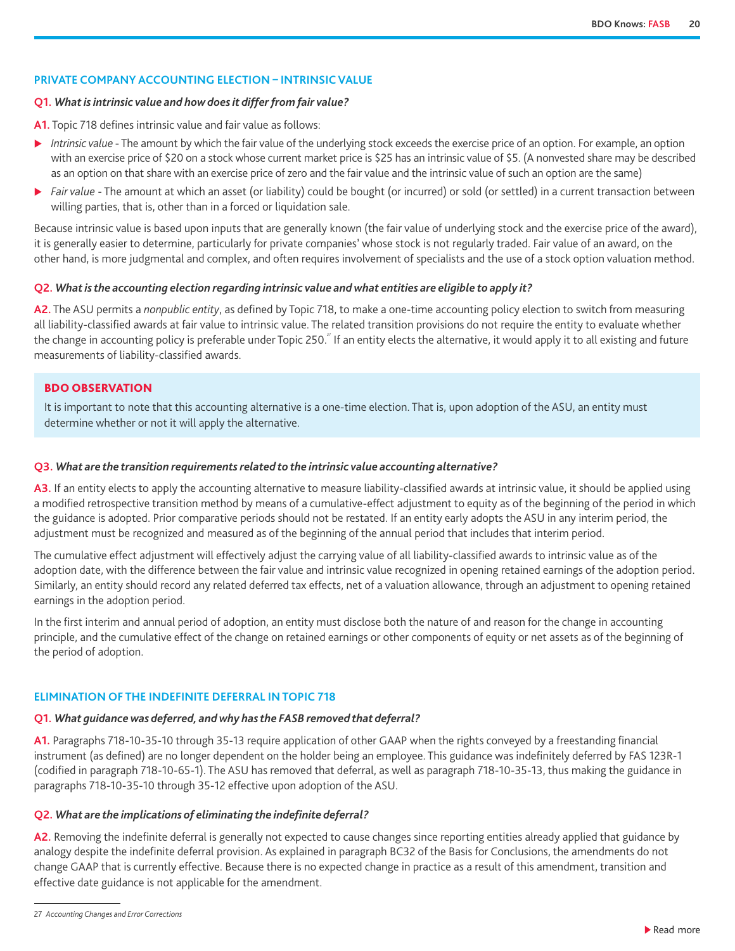#### <span id="page-19-0"></span>**PRIVATE COMPANY ACCOUNTING ELECTION – INTRINSIC VALUE**

#### **Q1.** *What is intrinsic value and how does it differ from fair value?*

**A1.** Topic 718 defines intrinsic value and fair value as follows:

- ▶ *Intrinsic value* The amount by which the fair value of the underlying stock exceeds the exercise price of an option. For example, an option with an exercise price of \$20 on a stock whose current market price is \$25 has an intrinsic value of \$5. (A nonvested share may be described as an option on that share with an exercise price of zero and the fair value and the intrinsic value of such an option are the same)
- ▶ *Fair value* The amount at which an asset (or liability) could be bought (or incurred) or sold (or settled) in a current transaction between willing parties, that is, other than in a forced or liquidation sale.

Because intrinsic value is based upon inputs that are generally known (the fair value of underlying stock and the exercise price of the award), it is generally easier to determine, particularly for private companies' whose stock is not regularly traded. Fair value of an award, on the other hand, is more judgmental and complex, and often requires involvement of specialists and the use of a stock option valuation method.

#### **Q2.** *What is the accounting election regarding intrinsic value and what entities are eligible to apply it?*

**A2.** The ASU permits a *nonpublic entity*, as defined by Topic 718, to make a one-time accounting policy election to switch from measuring all liability-classified awards at fair value to intrinsic value. The related transition provisions do not require the entity to evaluate whether the change in accounting policy is preferable under Topic 250.<sup>2</sup> If an entity elects the alternative, it would apply it to all existing and future measurements of liability-classified awards.

#### BDO OBSERVATION

It is important to note that this accounting alternative is a one-time election. That is, upon adoption of the ASU, an entity must determine whether or not it will apply the alternative.

#### **Q3.** *What are the transition requirements related to the intrinsic value accounting alternative?*

**A3.** If an entity elects to apply the accounting alternative to measure liability-classified awards at intrinsic value, it should be applied using a modified retrospective transition method by means of a cumulative-effect adjustment to equity as of the beginning of the period in which the guidance is adopted. Prior comparative periods should not be restated. If an entity early adopts the ASU in any interim period, the adjustment must be recognized and measured as of the beginning of the annual period that includes that interim period.

The cumulative effect adjustment will effectively adjust the carrying value of all liability-classified awards to intrinsic value as of the adoption date, with the difference between the fair value and intrinsic value recognized in opening retained earnings of the adoption period. Similarly, an entity should record any related deferred tax effects, net of a valuation allowance, through an adjustment to opening retained earnings in the adoption period.

In the first interim and annual period of adoption, an entity must disclose both the nature of and reason for the change in accounting principle, and the cumulative effect of the change on retained earnings or other components of equity or net assets as of the beginning of the period of adoption.

#### **ELIMINATION OF THE INDEFINITE DEFERRAL IN TOPIC 718**

#### **Q1.** *What guidance was deferred, and why has the FASB removed that deferral?*

**A1.** Paragraphs 718-10-35-10 through 35-13 require application of other GAAP when the rights conveyed by a freestanding financial instrument (as defined) are no longer dependent on the holder being an employee. This guidance was indefinitely deferred by FAS 123R-1 (codified in paragraph 718-10-65-1). The ASU has removed that deferral, as well as paragraph 718-10-35-13, thus making the guidance in paragraphs 718-10-35-10 through 35-12 effective upon adoption of the ASU.

#### **Q2.** *What are the implications of eliminating the indefinite deferral?*

**A2.** Removing the indefinite deferral is generally not expected to cause changes since reporting entities already applied that guidance by analogy despite the indefinite deferral provision. As explained in paragraph BC32 of the Basis for Conclusions, the amendments do not change GAAP that is currently effective. Because there is no expected change in practice as a result of this amendment, transition and effective date guidance is not applicable for the amendment.

<sup>27</sup> *Accounting Changes and Error Corrections*